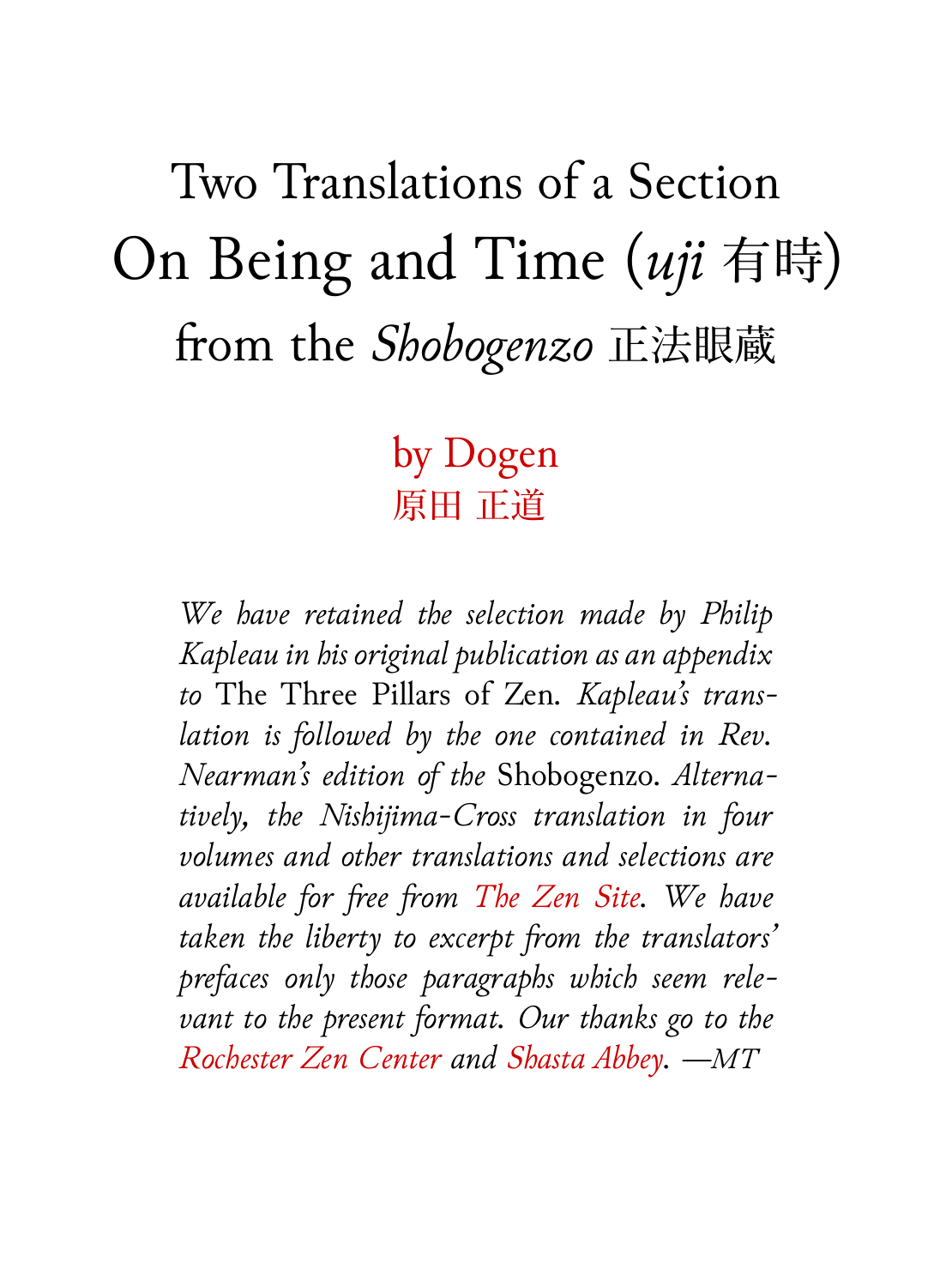Two Translations of a Section On Being and Time (*uji* 有時) from the *Shobogenzo* 正法眼蔵

## by Dogen 原田 正道

*We have retained the selection made by Philip Kapleau in his original publication as an appendix to* The Three Pillars of Zen*. Kapleau's translation is followed by the one contained in Rev. Nearman's edition of the* Shobogenzo*. Alternatively, the Nishijima-Cross translation in four volumes and other translations and selections are available for free from The Zen Site. We have taken the liberty to excerpt from the translators' prefaces only those paragraphs which seem relevant to the present format. Our thanks go to the Rochester Zen Center and Shasta Abbey. —MT*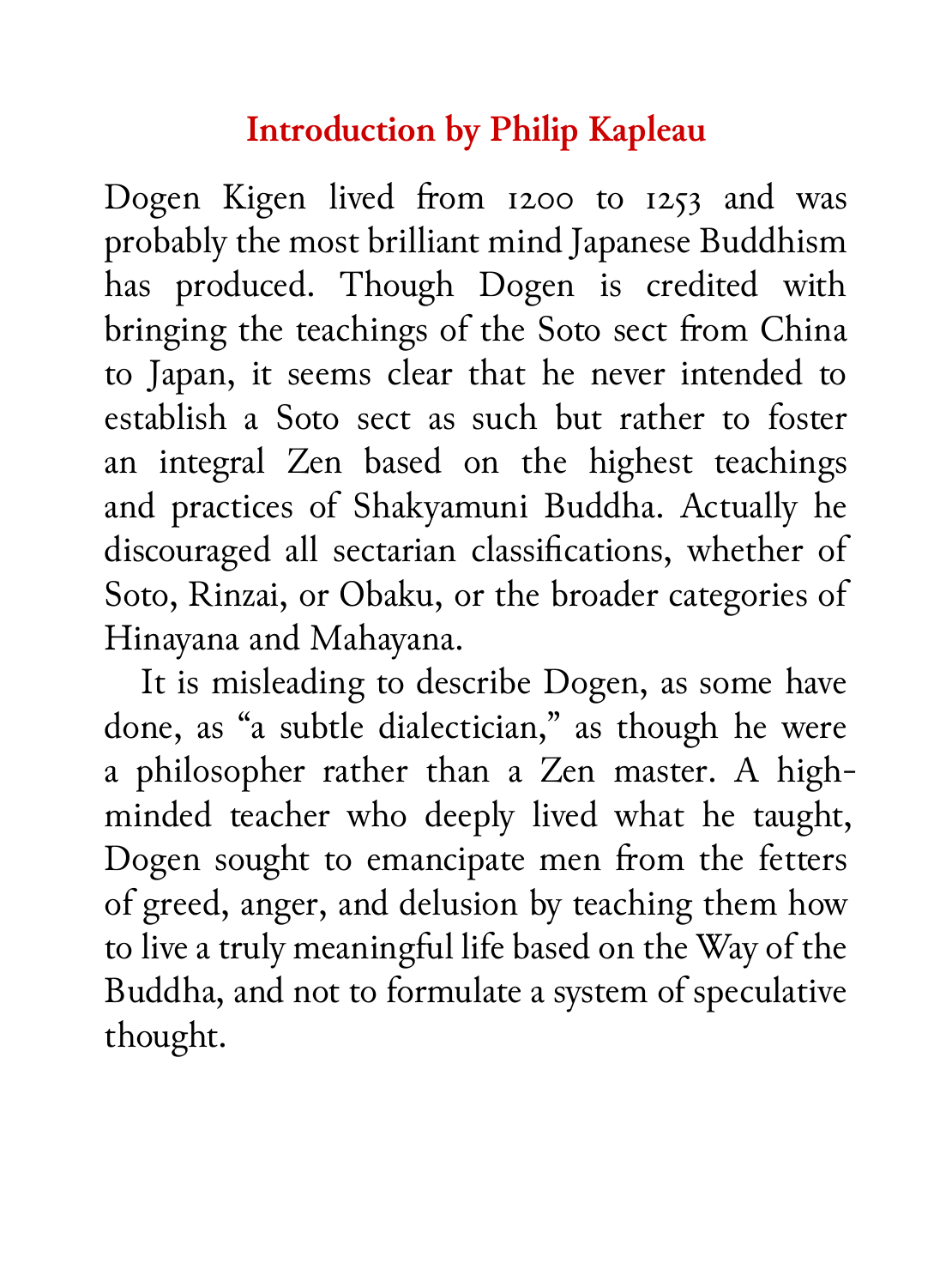### **Introduction by Philip Kapleau**

Dogen Kigen lived from 1200 to 1253 and was probably the most brilliant mind Japanese Buddhism has produced. Though Dogen is credited with bringing the teachings of the Soto sect from China to Japan, it seems clear that he never intended to establish a Soto sect as such but rather to foster an integral Zen based on the highest teachings and practices of Shakyamuni Buddha. Actually he discouraged all sectarian classifications, whether of Soto, Rinzai, or Obaku, or the broader categories of Hinayana and Mahayana.

It is misleading to describe Dogen, as some have done, as "a subtle dialectician," as though he were a philosopher rather than a Zen master. A highminded teacher who deeply lived what he taught, Dogen sought to emancipate men from the fetters of greed, anger, and delusion by teaching them how to live a truly meaningful life based on the Way of the Buddha, and not to formulate a system of speculative thought.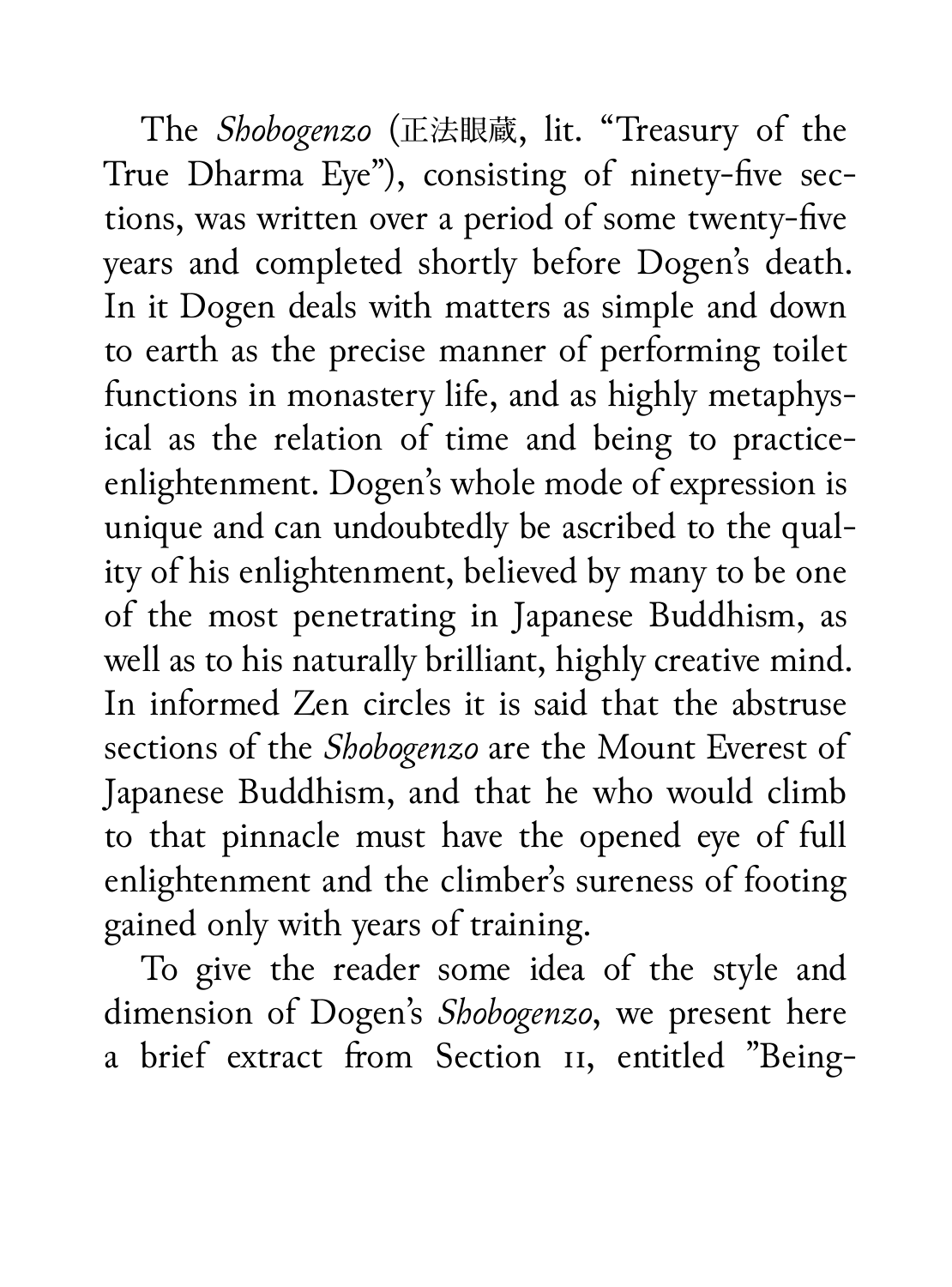The *Shobogenzo* (正法眼蔵, lit. "Treasury of the True Dharma Eye"), consisting of ninety-five sections, was written over a period of some twenty-five years and completed shortly before Dogen's death. In it Dogen deals with matters as simple and down to earth as the precise manner of performing toilet functions in monastery life, and as highly metaphysical as the relation of time and being to practiceenlightenment. Dogen's whole mode of expression is unique and can undoubtedly be ascribed to the quality of his enlightenment, believed by many to be one of the most penetrating in Japanese Buddhism, as well as to his naturally brilliant, highly creative mind. In informed Zen circles it is said that the abstruse sections of the *Shobogenzo* are the Mount Everest of Japanese Buddhism, and that he who would climb to that pinnacle must have the opened eye of full enlightenment and the climber's sureness of footing gained only with years of training.

To give the reader some idea of the style and dimension of Dogen's *Shobogenzo*, we present here a brief extract from Section 11, entitled "Being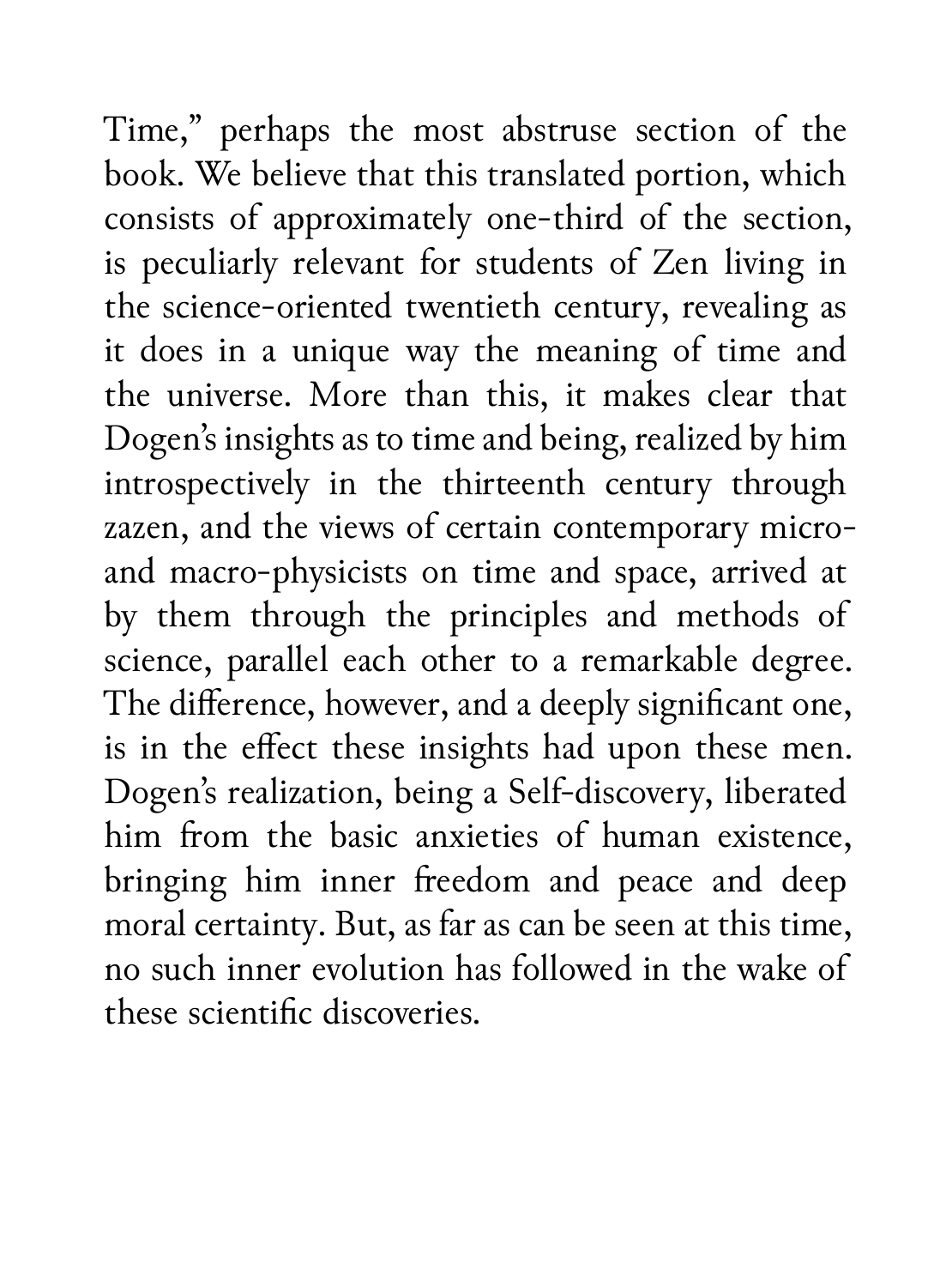Time," perhaps the most abstruse section of the book. We believe that this translated portion, which consists of approximately one-third of the section, is peculiarly relevant for students of Zen living in the science-oriented twentieth century, revealing as it does in a unique way the meaning of time and the universe. More than this, it makes clear that Dogen's insights as to time and being, realized by him introspectively in the thirteenth century through zazen, and the views of certain contemporary microand macro-physicists on time and space, arrived at by them through the principles and methods of science, parallel each other to a remarkable degree. The difference, however, and a deeply significant one, is in the effect these insights had upon these men. Dogen's realization, being a Self-discovery, liberated him from the basic anxieties of human existence, bringing him inner freedom and peace and deep moral certainty. But, as far as can be seen at this time, no such inner evolution has followed in the wake of these scientific discoveries.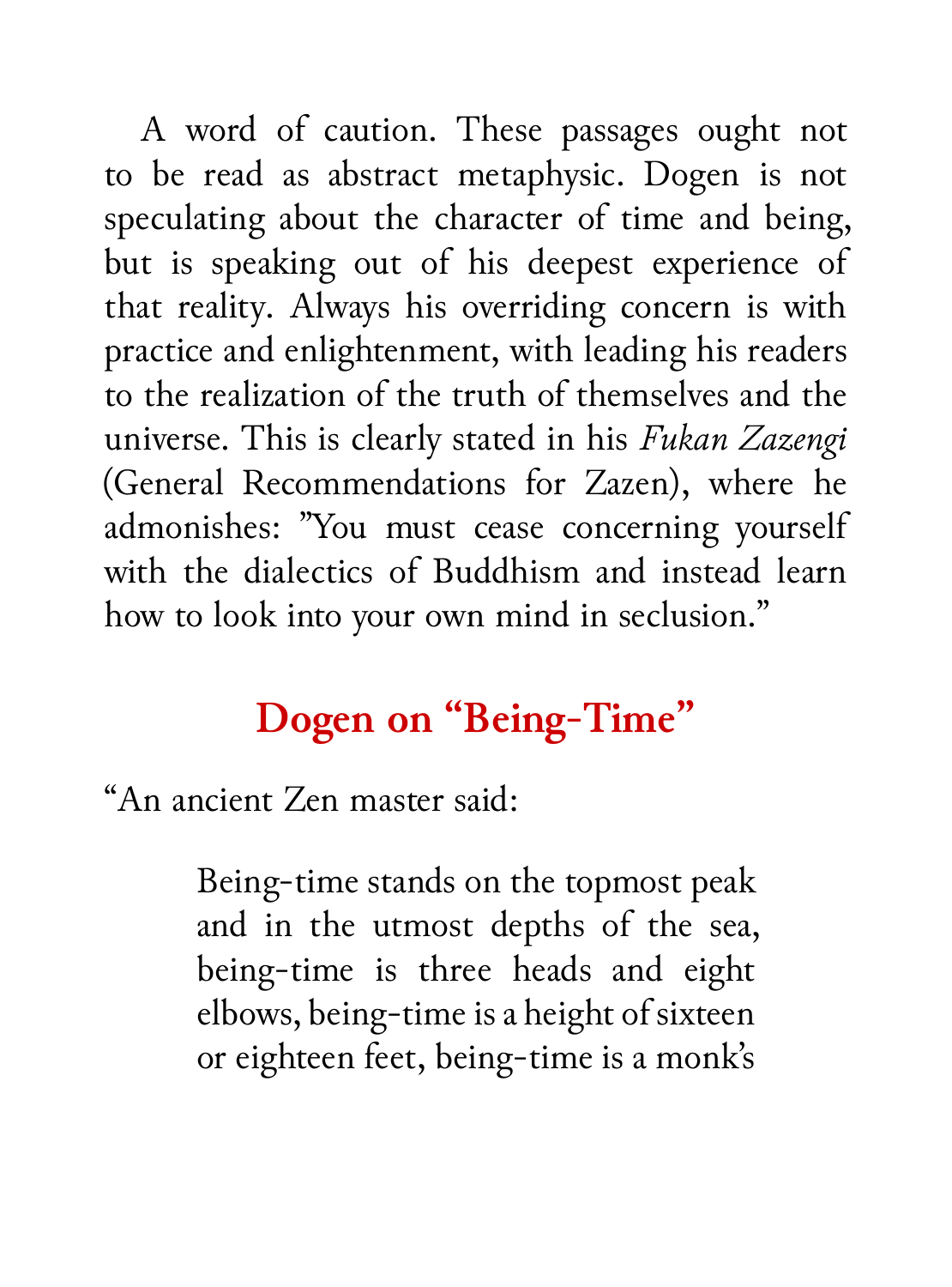A word of caution. These passages ought not to be read as abstract metaphysic. Dogen is not speculating about the character of time and being, but is speaking out of his deepest experience of that reality. Always his overriding concern is with practice and enlightenment, with leading his readers to the realization of the truth of themselves and the universe. This is clearly stated in his *Fukan Zazengi* (General Recommendations for Zazen), where he admonishes: "You must cease concerning yourself with the dialectics of Buddhism and instead learn how to look into your own mind in seclusion."

## **Dogen on "Being-Time"**

"An ancient Zen master said:

Being-time stands on the topmost peak and in the utmost depths of the sea, being-time is three heads and eight elbows, being-time is a height of sixteen or eighteen feet, being-time is a monk's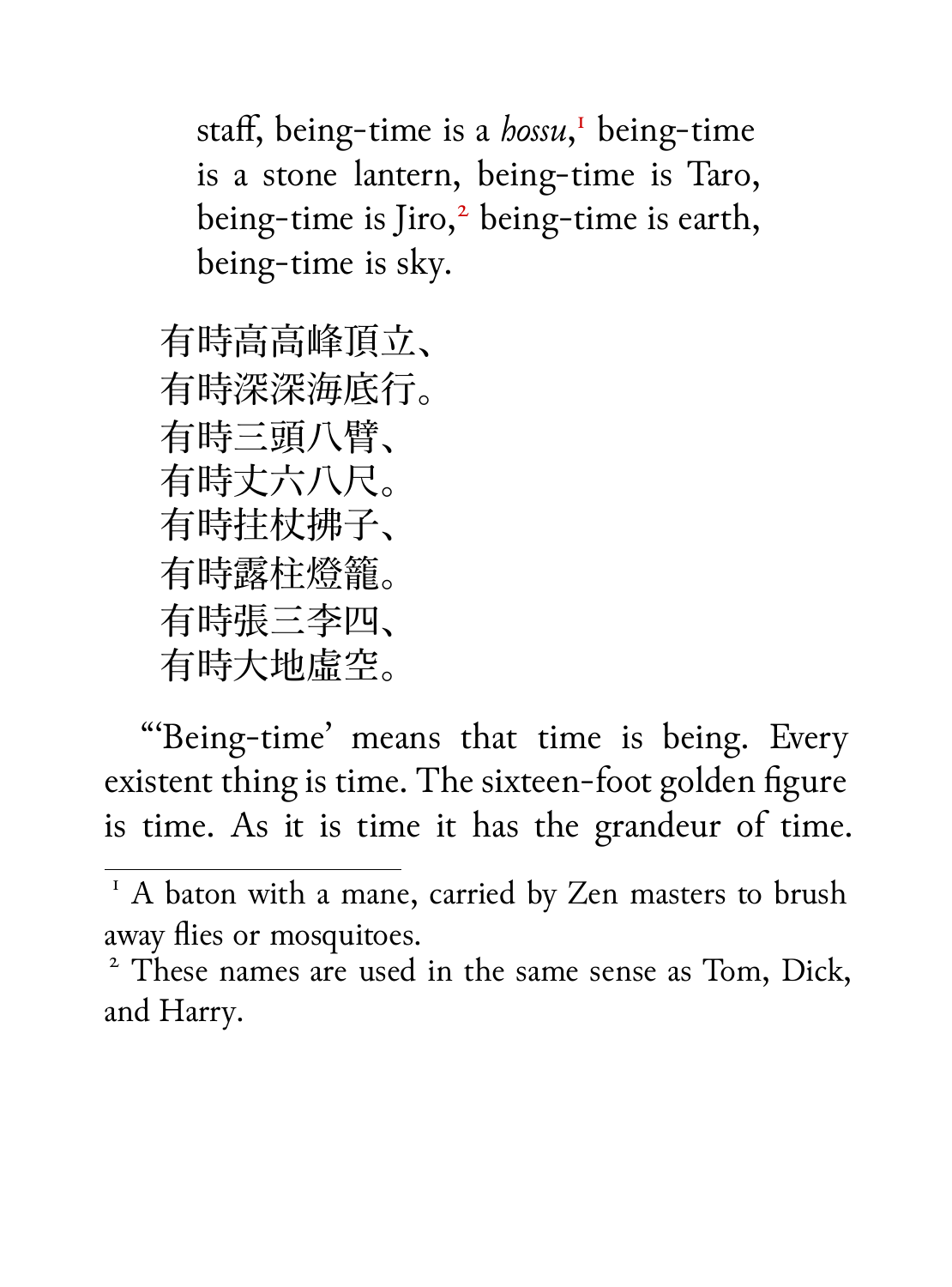staff, being-time is a *hossu*, <sup>1</sup> being-time is a stone lantern, being-time is Taro, being-time is Jiro,<sup>2</sup> being-time is earth, being-time is sky.

有時高高峰頂立、 有時深深海底行。 有時三頭八臂、 有時丈六八尺。 有時拄杖拂子、 有時露柱燈籠。 有時張三李四、 有時大地虛空。

"'Being-time' means that time is being. Every existent thing is time. The sixteen-foot golden figure is time. As it is time it has the grandeur of time.

 $1 A$  baton with a mane, carried by Zen masters to brush away flies or mosquitoes.

<sup>&</sup>lt;sup>2</sup> These names are used in the same sense as Tom, Dick, and Harry.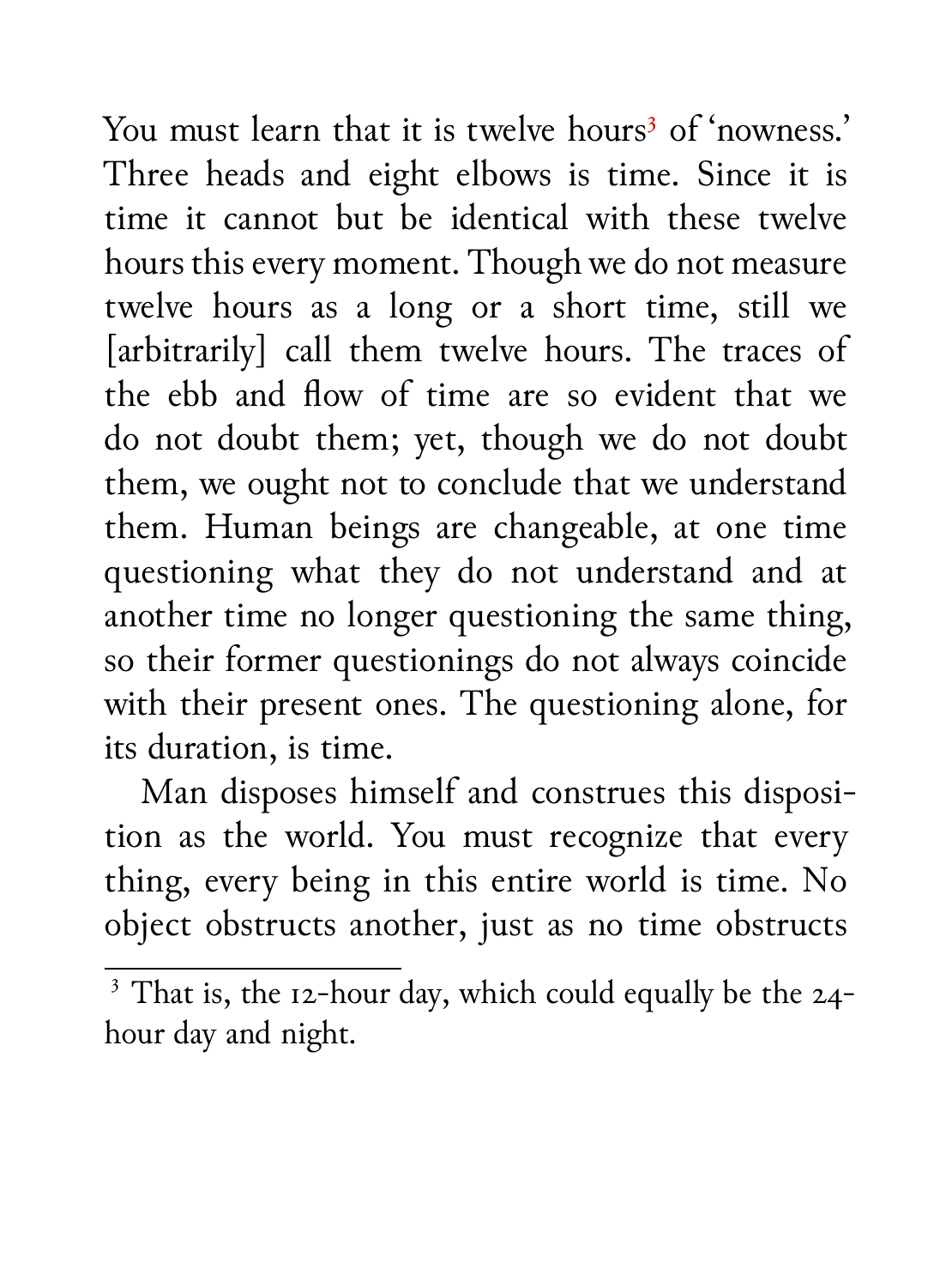You must learn that it is twelve hours<sup>3</sup> of 'nowness.' Three heads and eight elbows is time. Since it is time it cannot but be identical with these twelve hours this every moment. Though we do not measure twelve hours as a long or a short time, still we [arbitrarily] call them twelve hours. The traces of the ebb and flow of time are so evident that we do not doubt them; yet, though we do not doubt them, we ought not to conclude that we understand them. Human beings are changeable, at one time questioning what they do not understand and at another time no longer questioning the same thing, so their former questionings do not always coincide with their present ones. The questioning alone, for its duration, is time.

Man disposes himself and construes this disposition as the world. You must recognize that every thing, every being in this entire world is time. No object obstructs another, just as no time obstructs

 $\overline{\text{3}$  That is, the 12-hour day, which could equally be the 24hour day and night.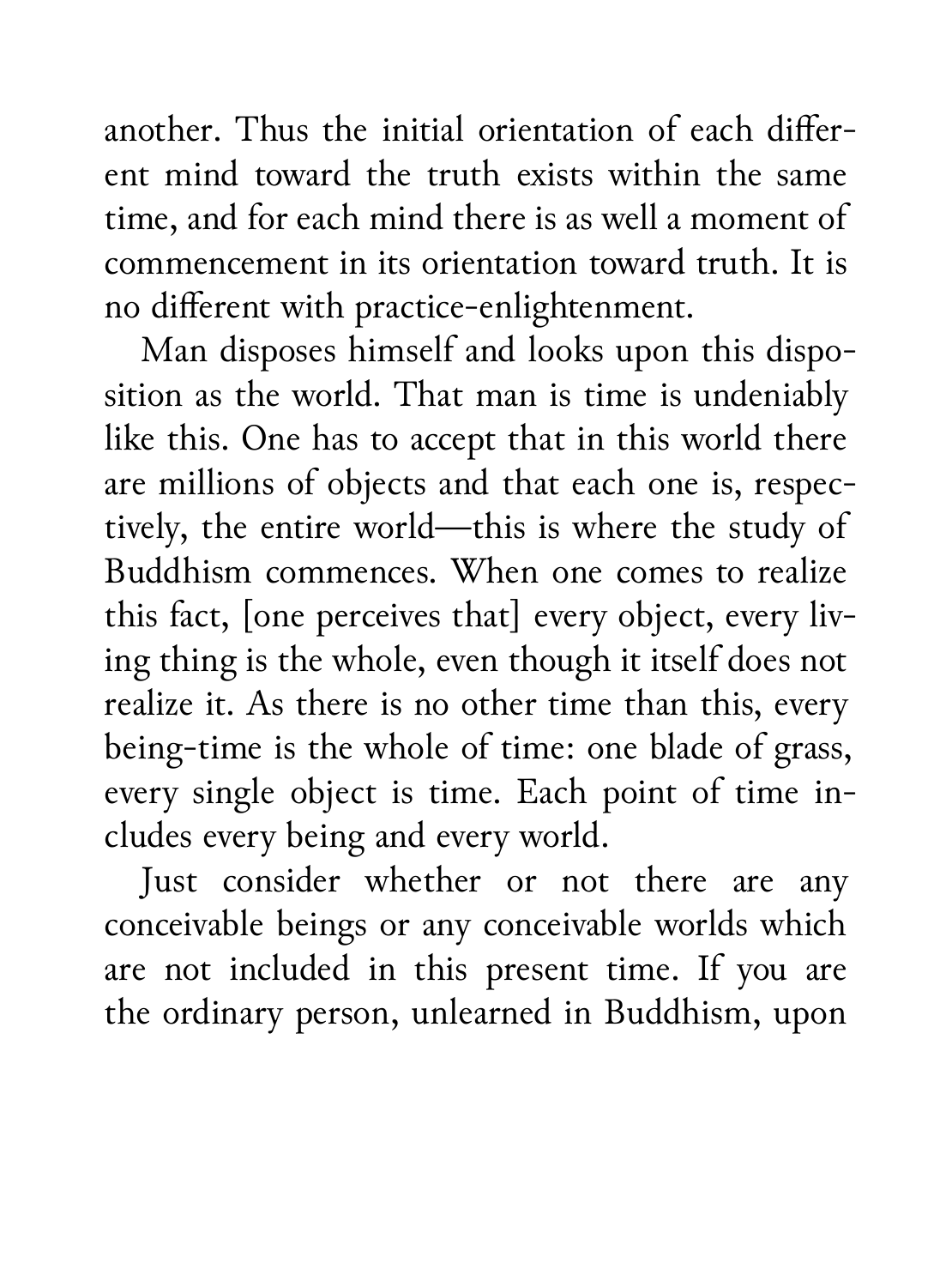another. Thus the initial orientation of each different mind toward the truth exists within the same time, and for each mind there is as well a moment of commencement in its orientation toward truth. It is no different with practice-enlightenment.

Man disposes himself and looks upon this disposition as the world. That man is time is undeniably like this. One has to accept that in this world there are millions of objects and that each one is, respectively, the entire world—this is where the study of Buddhism commences. When one comes to realize this fact, [one perceives that] every object, every living thing is the whole, even though it itself does not realize it. As there is no other time than this, every being-time is the whole of time: one blade of grass, every single object is time. Each point of time includes every being and every world.

Just consider whether or not there are any conceivable beings or any conceivable worlds which are not included in this present time. If you are the ordinary person, unlearned in Buddhism, upon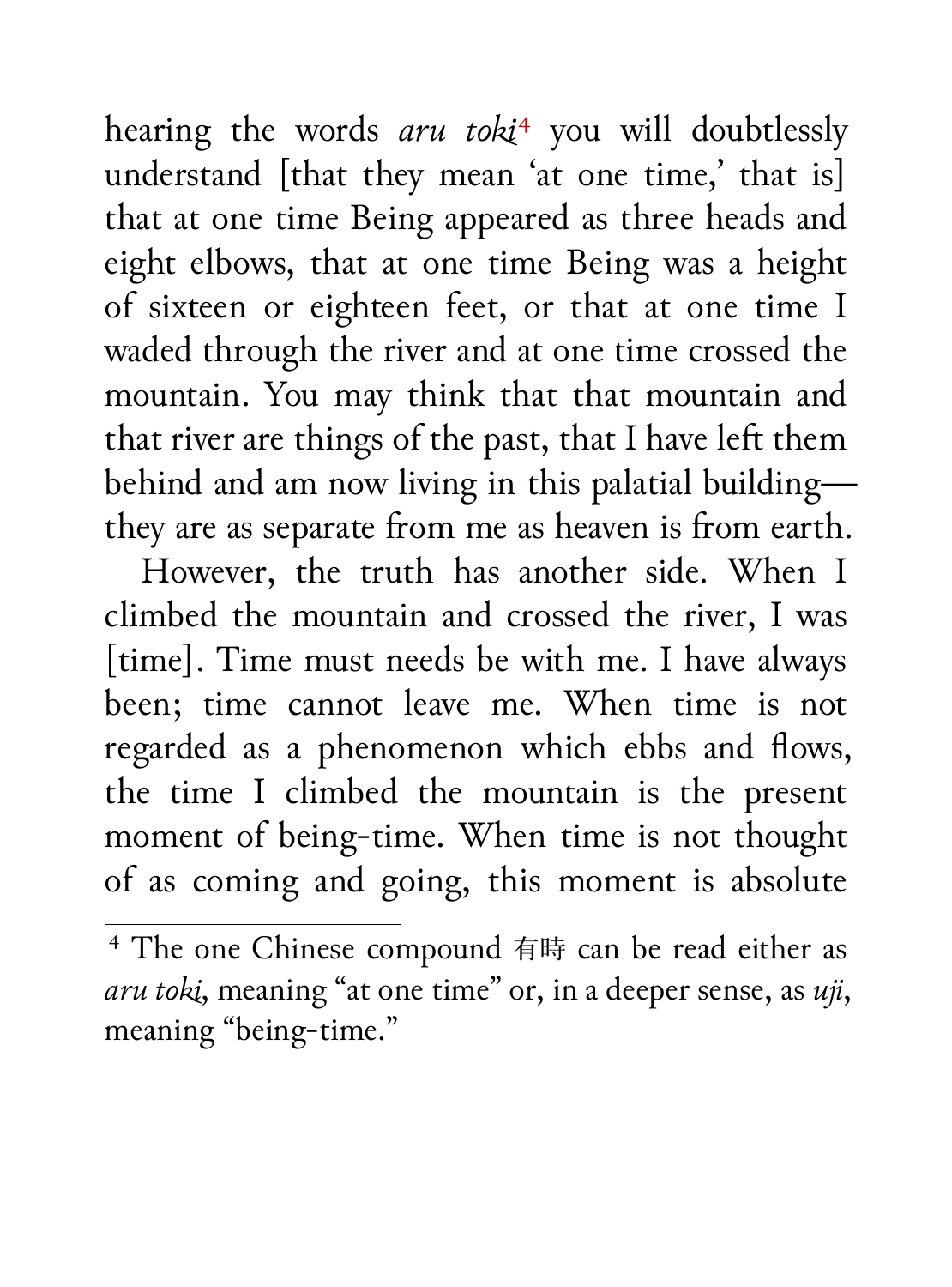hearing the words *aru toki*<sup>4</sup> you will doubtlessly understand [that they mean 'at one time,' that is] that at one time Being appeared as three heads and eight elbows, that at one time Being was a height of sixteen or eighteen feet, or that at one time I waded through the river and at one time crossed the mountain. You may think that that mountain and that river are things of the past, that I have left them behind and am now living in this palatial building they are as separate from me as heaven is from earth.

However, the truth has another side. When I climbed the mountain and crossed the river, I was [time]. Time must needs be with me. I have always been; time cannot leave me. When time is not regarded as a phenomenon which ebbs and flows, the time I climbed the mountain is the present moment of being-time. When time is not thought of as coming and going, this moment is absolute

<sup>4</sup> The one Chinese compound 有時 can be read either as *aru toki*, meaning "at one time" or, in a deeper sense, as *uji*, meaning "being-time."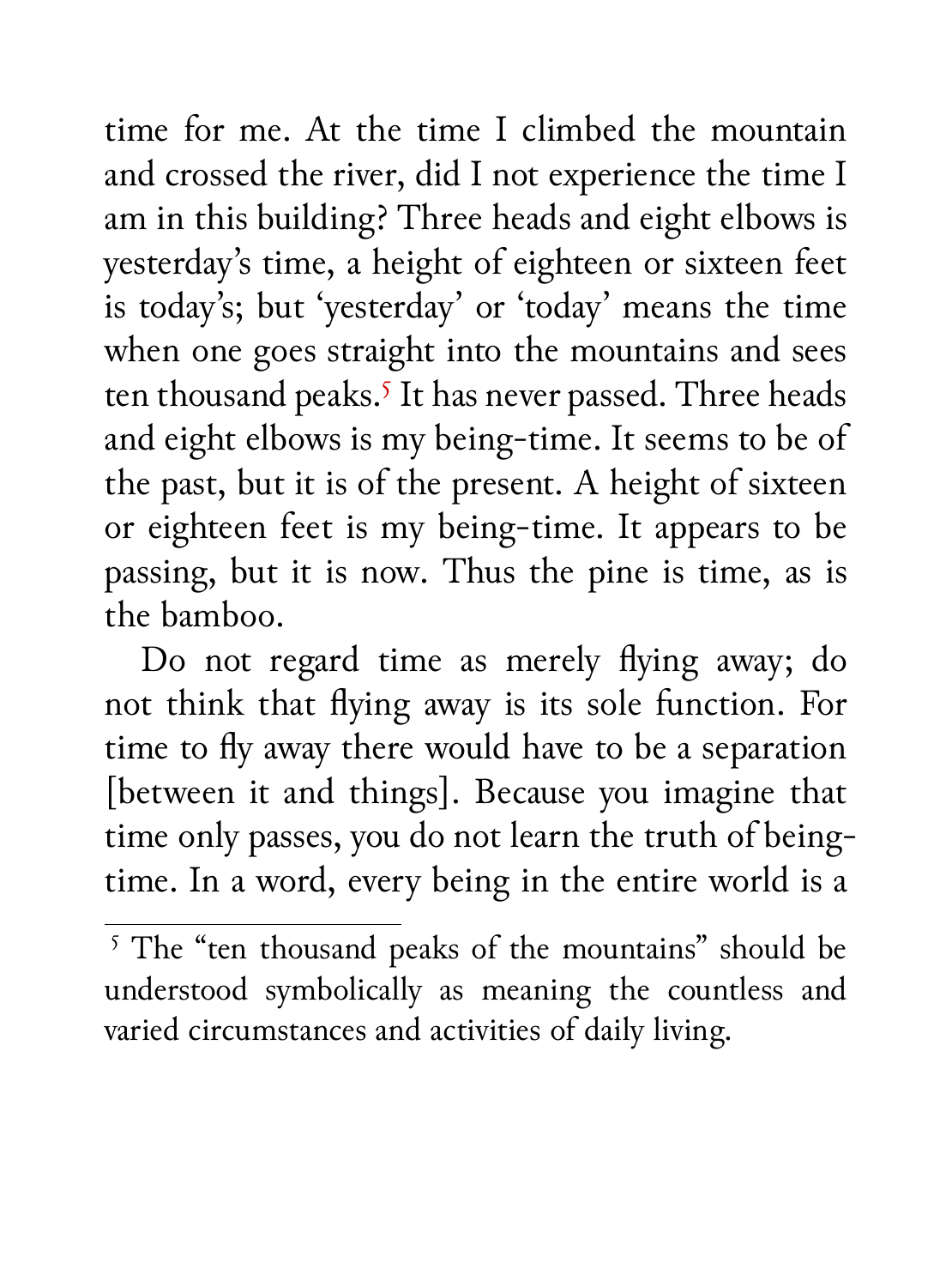time for me. At the time I climbed the mountain and crossed the river, did I not experience the time I am in this building? Three heads and eight elbows is yesterday's time, a height of eighteen or sixteen feet is today's; but 'yesterday' or 'today' means the time when one goes straight into the mountains and sees ten thousand peaks.<sup>5</sup> It has never passed. Three heads and eight elbows is my being-time. It seems to be of the past, but it is of the present. A height of sixteen or eighteen feet is my being-time. It appears to be passing, but it is now. Thus the pine is time, as is the bamboo.

Do not regard time as merely flying away; do not think that flying away is its sole function. For time to fly away there would have to be a separation [between it and things]. Because you imagine that time only passes, you do not learn the truth of beingtime. In a word, every being in the entire world is a

 $\sqrt{5}$  The "ten thousand peaks of the mountains" should be understood symbolically as meaning the countless and varied circumstances and activities of daily living.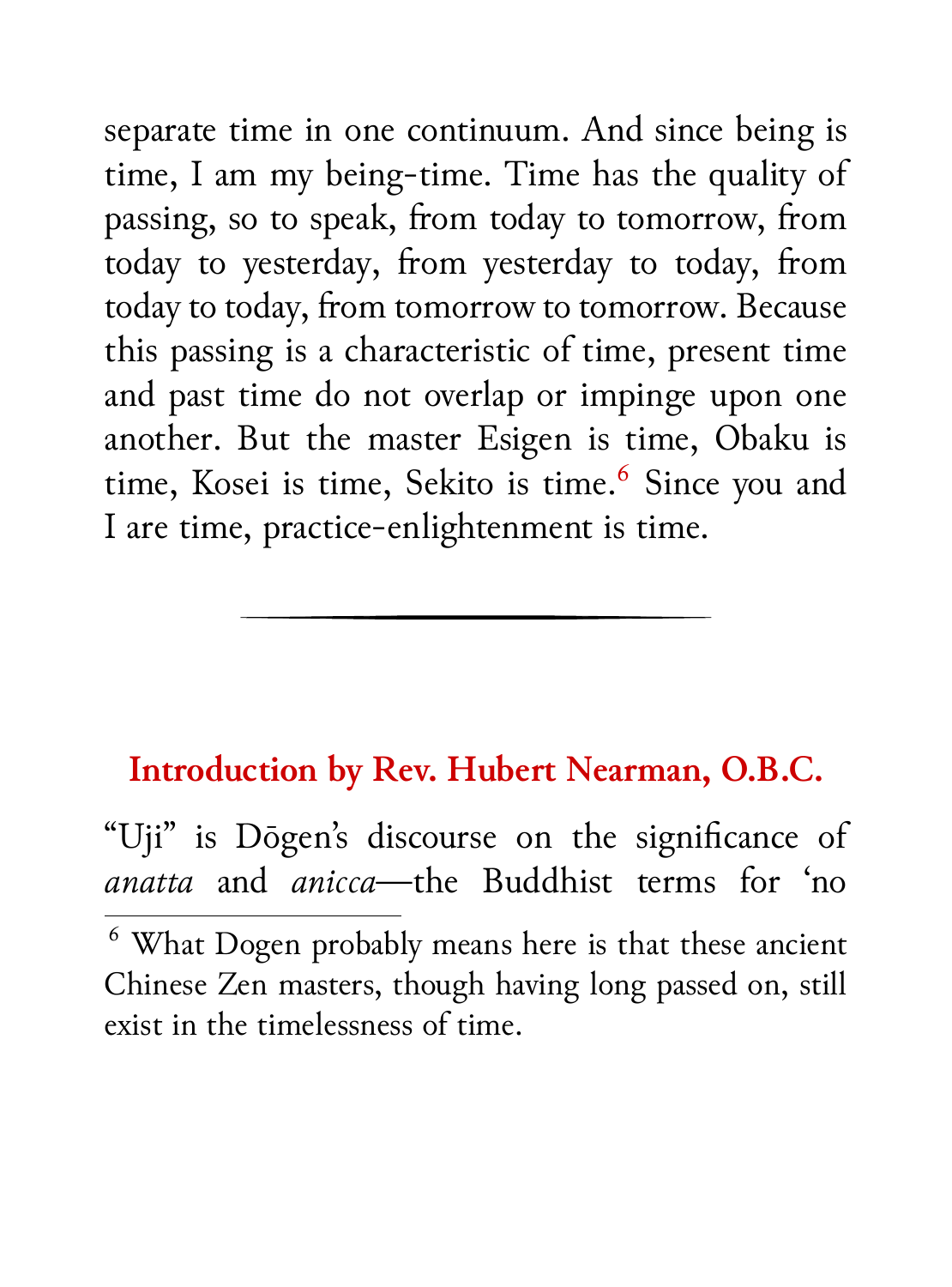separate time in one continuum. And since being is time, I am my being-time. Time has the quality of passing, so to speak, from today to tomorrow, from today to yesterday, from yesterday to today, from today to today, from tomorrow to tomorrow. Because this passing is a characteristic of time, present time and past time do not overlap or impinge upon one another. But the master Esigen is time, Obaku is time, Kosei is time, Sekito is time.<sup>6</sup> Since you and I are time, practice-enlightenment is time.

### **Introduction by Rev. Hubert Nearman, O.B.C.**

"Uji" is Dōgen's discourse on the significance of *anatta* and *anicca*—the Buddhist terms for 'no

<sup>6</sup> What Dogen probably means here is that these ancient Chinese Zen masters, though having long passed on, still exist in the timelessness of time.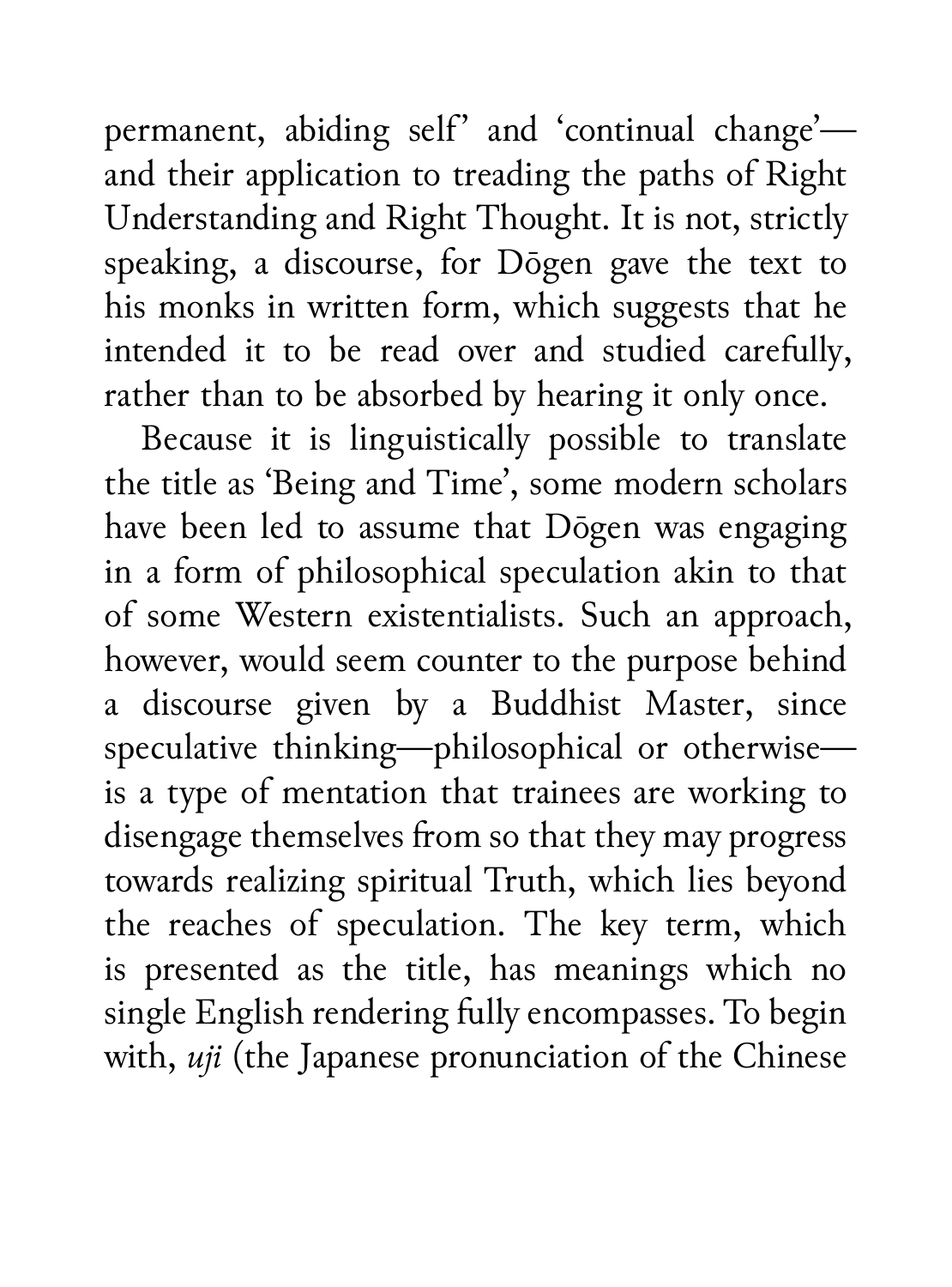permanent, abiding self' and 'continual change' and their application to treading the paths of Right Understanding and Right Thought. It is not, strictly speaking, a discourse, for Dōgen gave the text to his monks in written form, which suggests that he intended it to be read over and studied carefully, rather than to be absorbed by hearing it only once.

Because it is linguistically possible to translate the title as 'Being and Time', some modern scholars have been led to assume that Dōgen was engaging in a form of philosophical speculation akin to that of some Western existentialists. Such an approach, however, would seem counter to the purpose behind a discourse given by a Buddhist Master, since speculative thinking—philosophical or otherwise is a type of mentation that trainees are working to disengage themselves from so that they may progress towards realizing spiritual Truth, which lies beyond the reaches of speculation. The key term, which is presented as the title, has meanings which no single English rendering fully encompasses. To begin with, *uji* (the Japanese pronunciation of the Chinese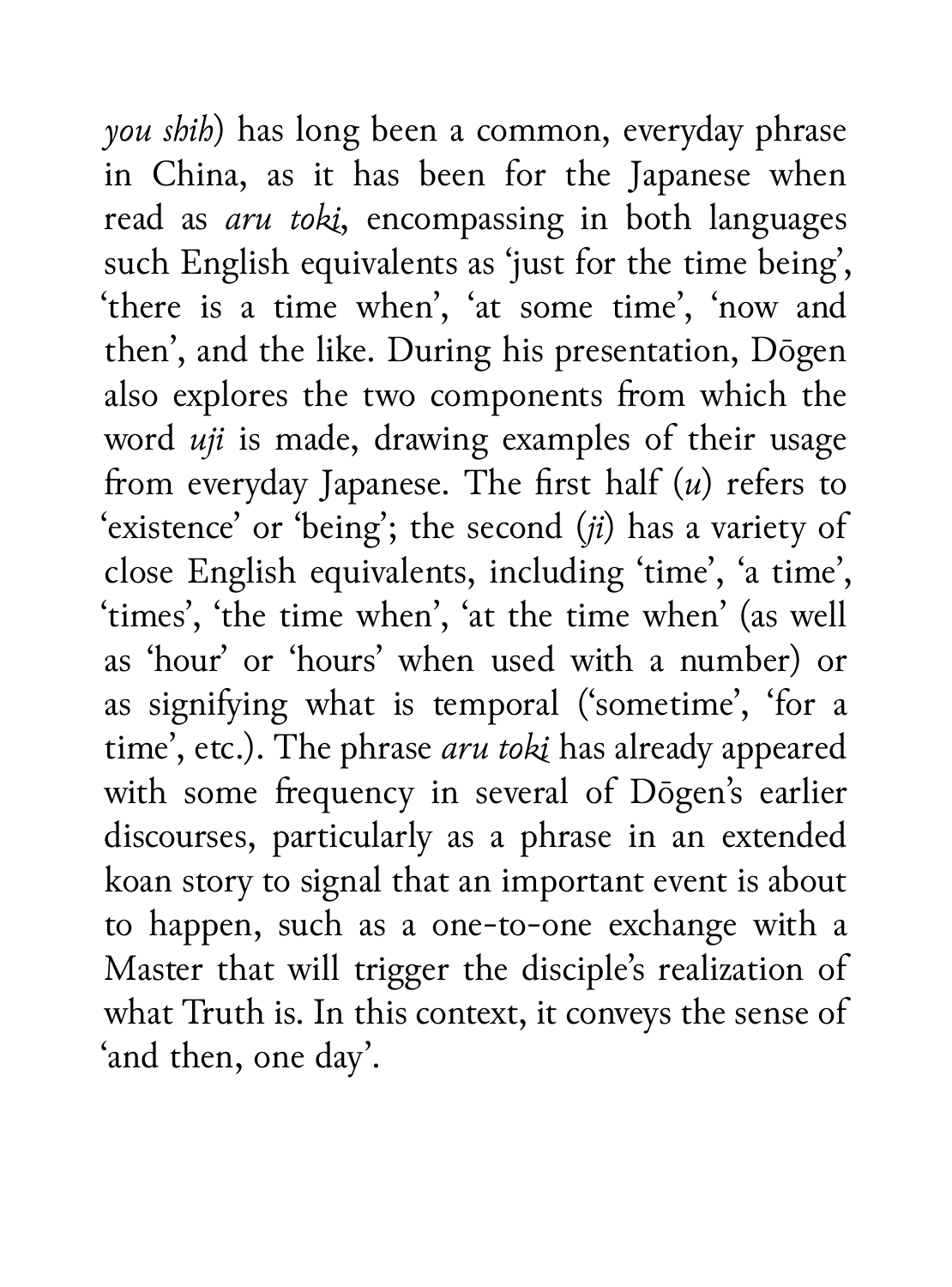*you shih*) has long been a common, everyday phrase in China, as it has been for the Japanese when read as *aru toki*, encompassing in both languages such English equivalents as 'just for the time being', 'there is a time when', 'at some time', 'now and then', and the like. During his presentation, Dōgen also explores the two components from which the word *uji* is made, drawing examples of their usage from everyday Japanese. The first half (*u*) refers to 'existence' or 'being'; the second (*ji*) has a variety of close English equivalents, including 'time', 'a time', 'times', 'the time when', 'at the time when' (as well as 'hour' or 'hours' when used with a number) or as signifying what is temporal ('sometime', 'for a time', etc.). The phrase *aru toki* has already appeared with some frequency in several of Dōgen's earlier discourses, particularly as a phrase in an extended koan story to signal that an important event is about to happen, such as a one-to-one exchange with a Master that will trigger the disciple's realization of what Truth is. In this context, it conveys the sense of 'and then, one day'.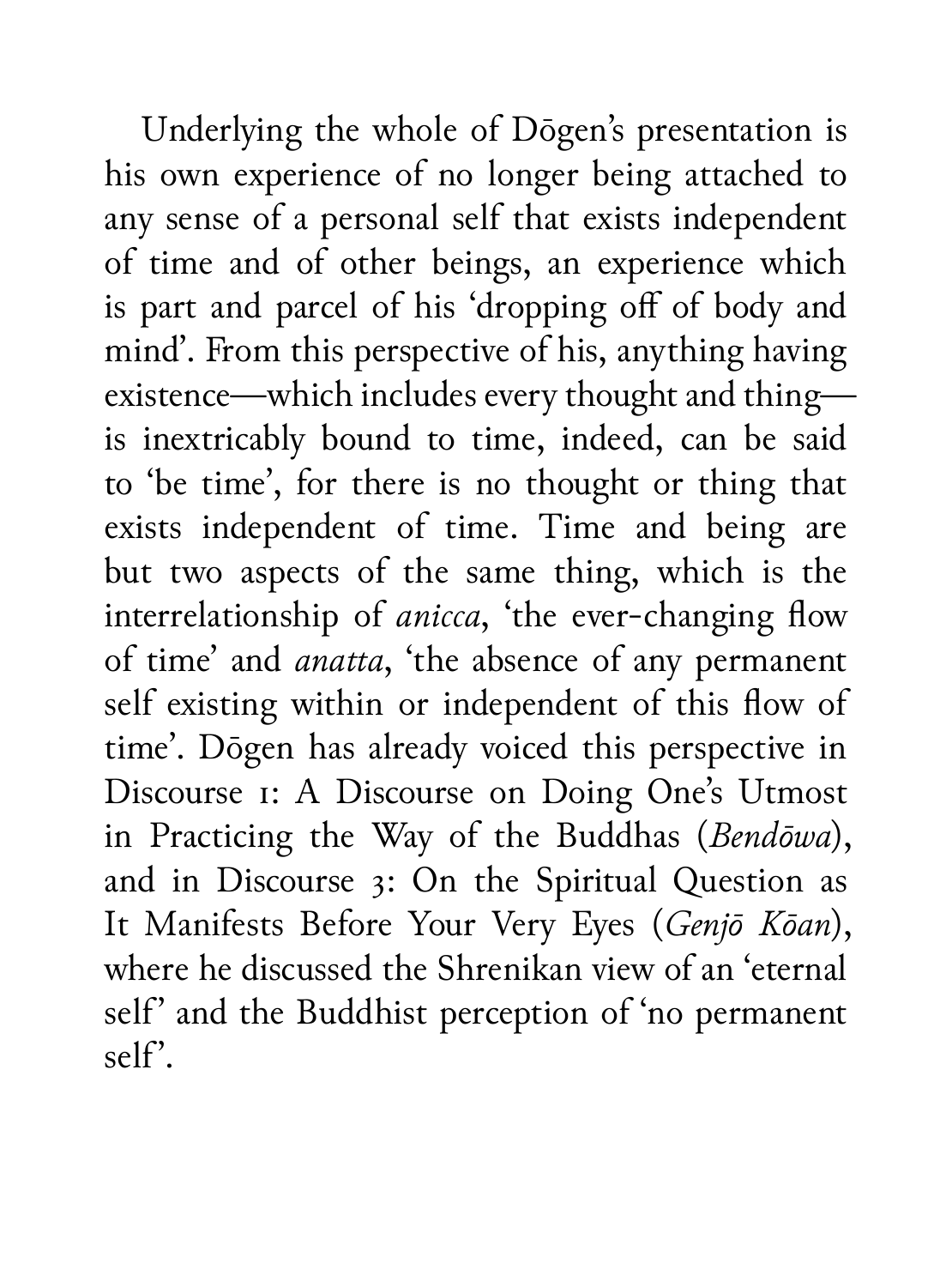Underlying the whole of Dōgen's presentation is his own experience of no longer being attached to any sense of a personal self that exists independent of time and of other beings, an experience which is part and parcel of his 'dropping off of body and mind'. From this perspective of his, anything having existence—which includes every thought and thing is inextricably bound to time, indeed, can be said to 'be time', for there is no thought or thing that exists independent of time. Time and being are but two aspects of the same thing, which is the interrelationship of *anicca*, 'the ever-changing flow of time' and *anatta*, 'the absence of any permanent self existing within or independent of this flow of time'. Dōgen has already voiced this perspective in Discourse 1: A Discourse on Doing One's Utmost in Practicing the Way of the Buddhas (*Bendōwa*), and in Discourse 3: On the Spiritual Question as It Manifests Before Your Very Eyes (*Genjō Kōan*), where he discussed the Shrenikan view of an 'eternal self' and the Buddhist perception of 'no permanent  $self$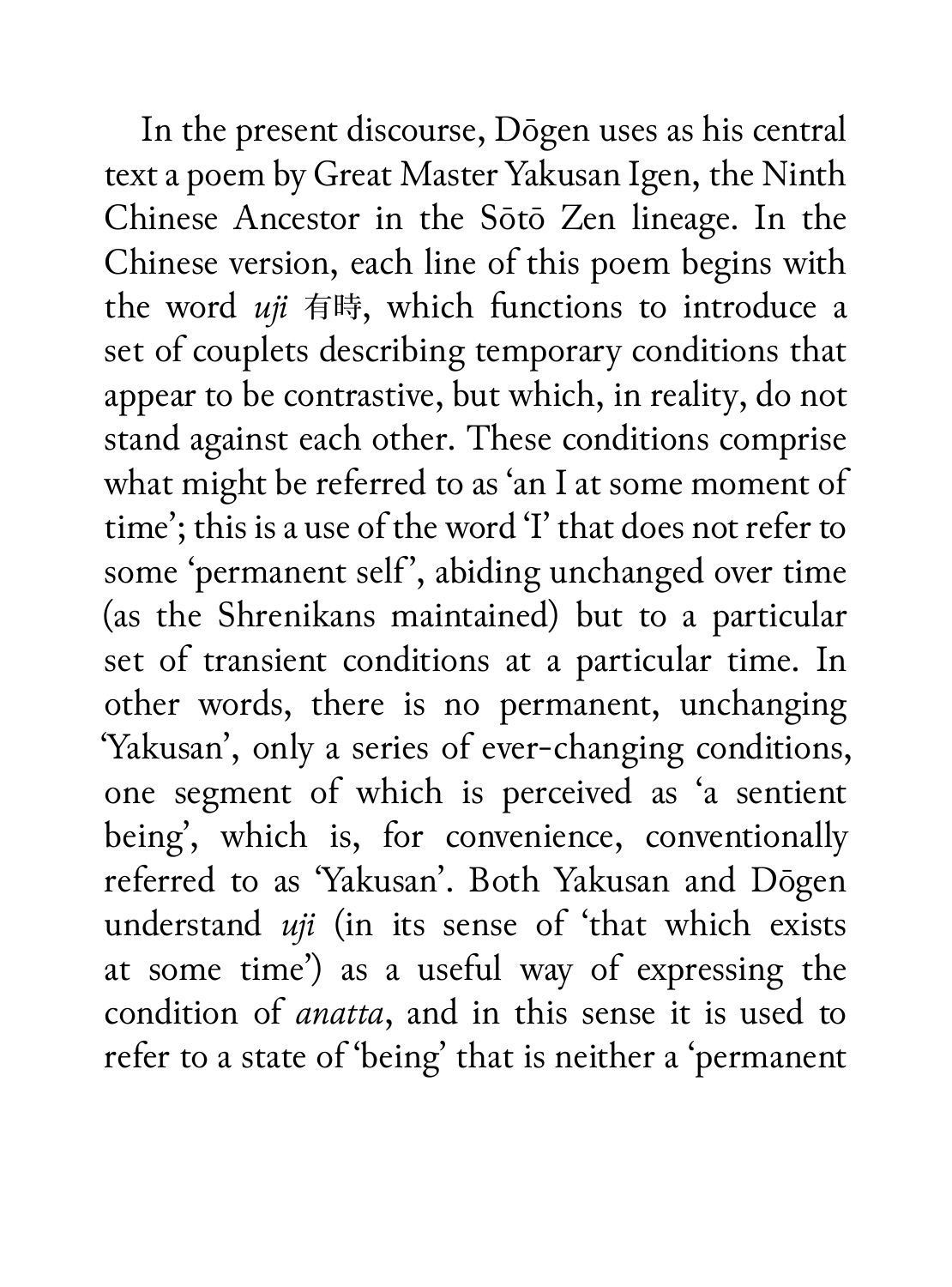In the present discourse, Dōgen uses as his central text a poem by Great Master Yakusan Igen, the Ninth Chinese Ancestor in the Sōtō Zen lineage. In the Chinese version, each line of this poem begins with the word *uji* 有時, which functions to introduce a set of couplets describing temporary conditions that appear to be contrastive, but which, in reality, do not stand against each other. These conditions comprise what might be referred to as 'an I at some moment of time'; this is a use of the word 'I' that does not refer to some 'permanent self', abiding unchanged over time (as the Shrenikans maintained) but to a particular set of transient conditions at a particular time. In other words, there is no permanent, unchanging 'Yakusan', only a series of ever-changing conditions, one segment of which is perceived as 'a sentient being', which is, for convenience, conventionally referred to as 'Yakusan'. Both Yakusan and Dōgen understand *uji* (in its sense of 'that which exists at some time') as a useful way of expressing the condition of *anatta*, and in this sense it is used to refer to a state of 'being' that is neither a 'permanent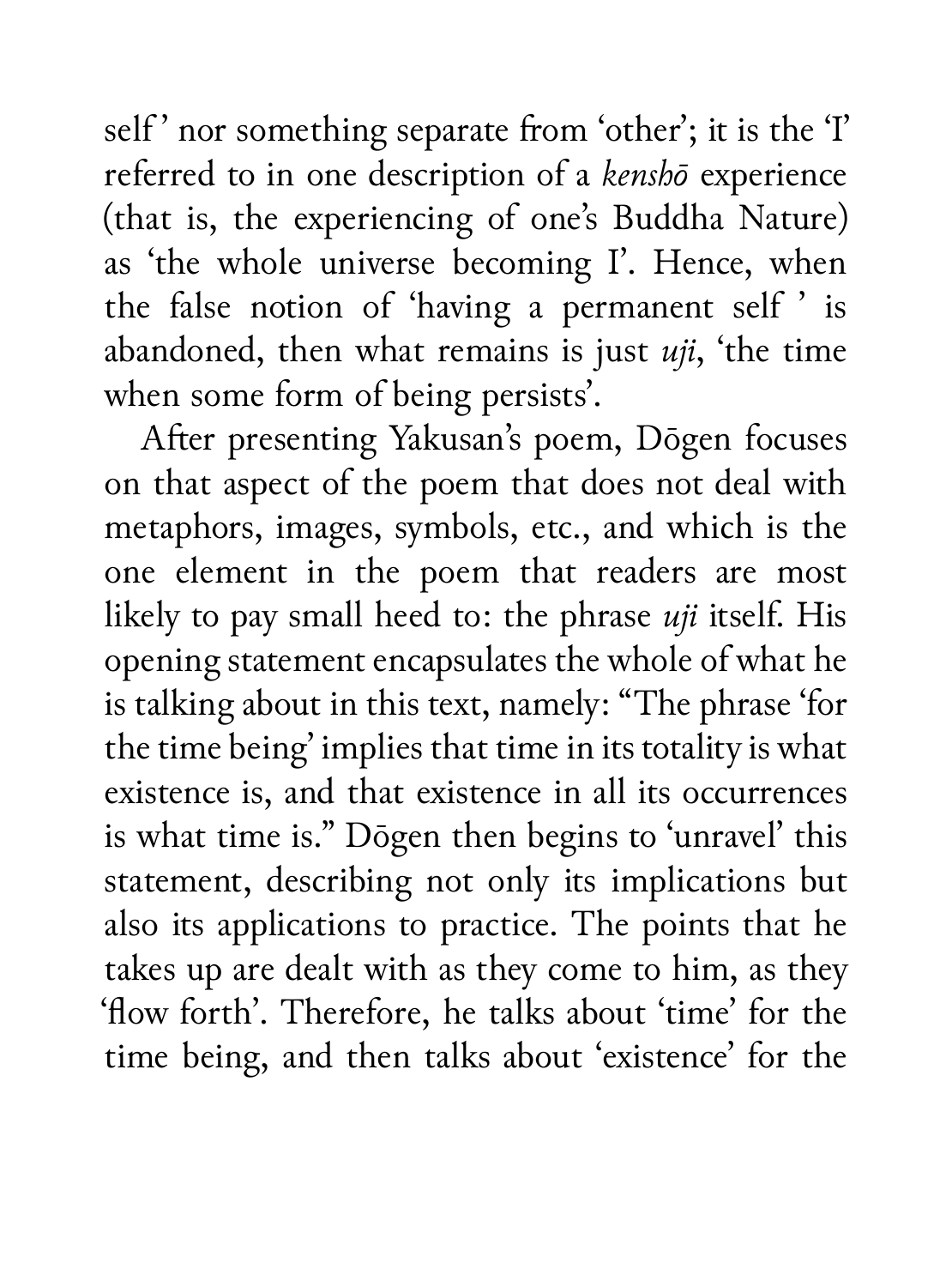self' nor something separate from 'other'; it is the 'I' referred to in one description of a *kenshō* experience (that is, the experiencing of one's Buddha Nature) as 'the whole universe becoming I'. Hence, when the false notion of 'having a permanent self ' is abandoned, then what remains is just *uji*, 'the time when some form of being persists'.

After presenting Yakusan's poem, Dōgen focuses on that aspect of the poem that does not deal with metaphors, images, symbols, etc., and which is the one element in the poem that readers are most likely to pay small heed to: the phrase *uji* itself. His opening statement encapsulates the whole of what he is talking about in this text, namely: "The phrase 'for the time being' implies that time in its totality is what existence is, and that existence in all its occurrences is what time is." Dōgen then begins to 'unravel' this statement, describing not only its implications but also its applications to practice. The points that he takes up are dealt with as they come to him, as they 'flow forth'. Therefore, he talks about 'time' for the time being, and then talks about 'existence' for the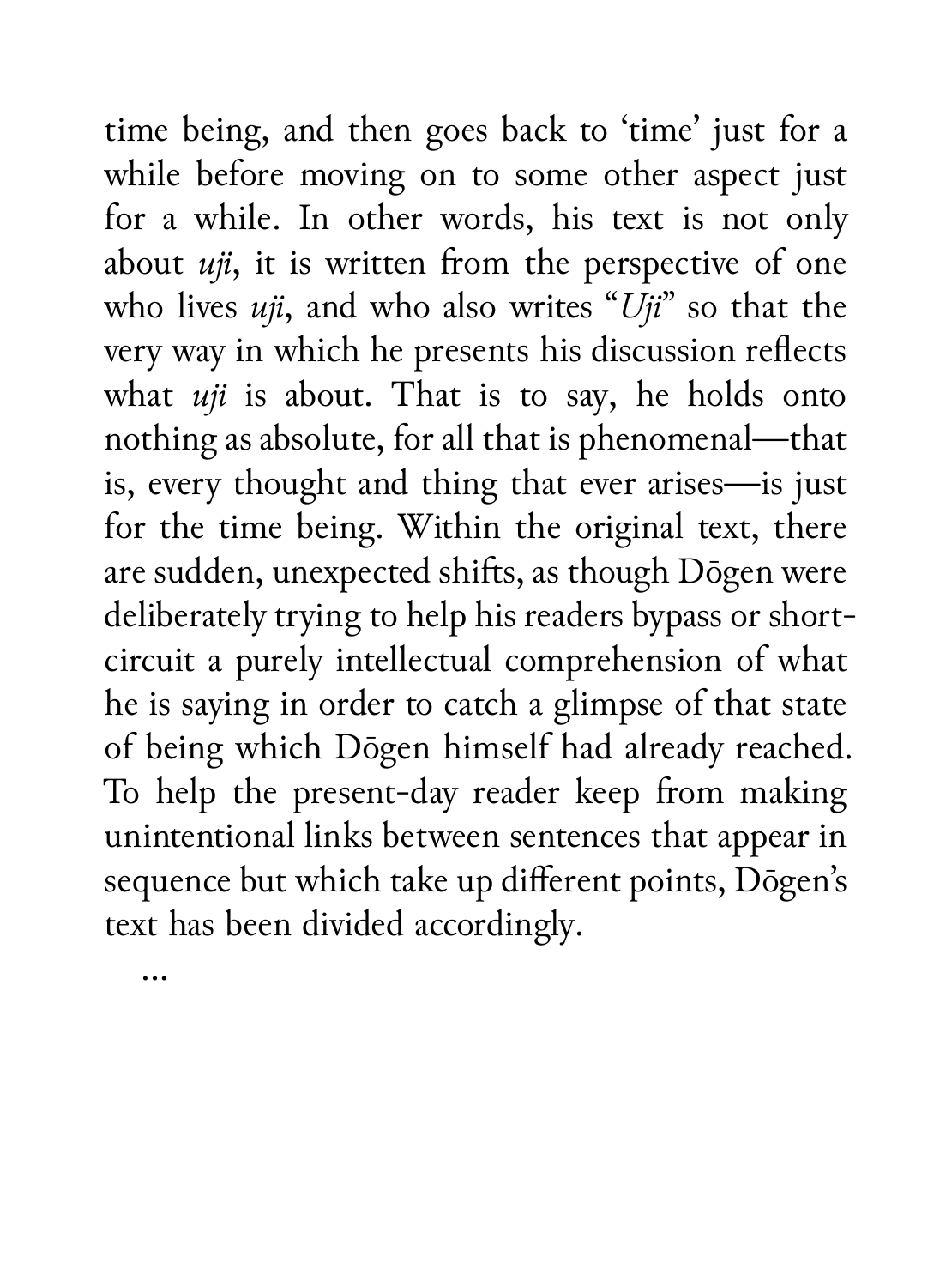time being, and then goes back to 'time' just for a while before moving on to some other aspect just for a while. In other words, his text is not only about *uji*, it is written from the perspective of one who lives *uji*, and who also writes "*Uji*" so that the very way in which he presents his discussion reflects what *uji* is about. That is to say, he holds onto nothing as absolute, for all that is phenomenal—that is, every thought and thing that ever arises—is just for the time being. Within the original text, there are sudden, unexpected shifts, as though Dōgen were deliberately trying to help his readers bypass or shortcircuit a purely intellectual comprehension of what he is saying in order to catch a glimpse of that state of being which Dōgen himself had already reached. To help the present-day reader keep from making unintentional links between sentences that appear in sequence but which take up different points, Dōgen's text has been divided accordingly.

…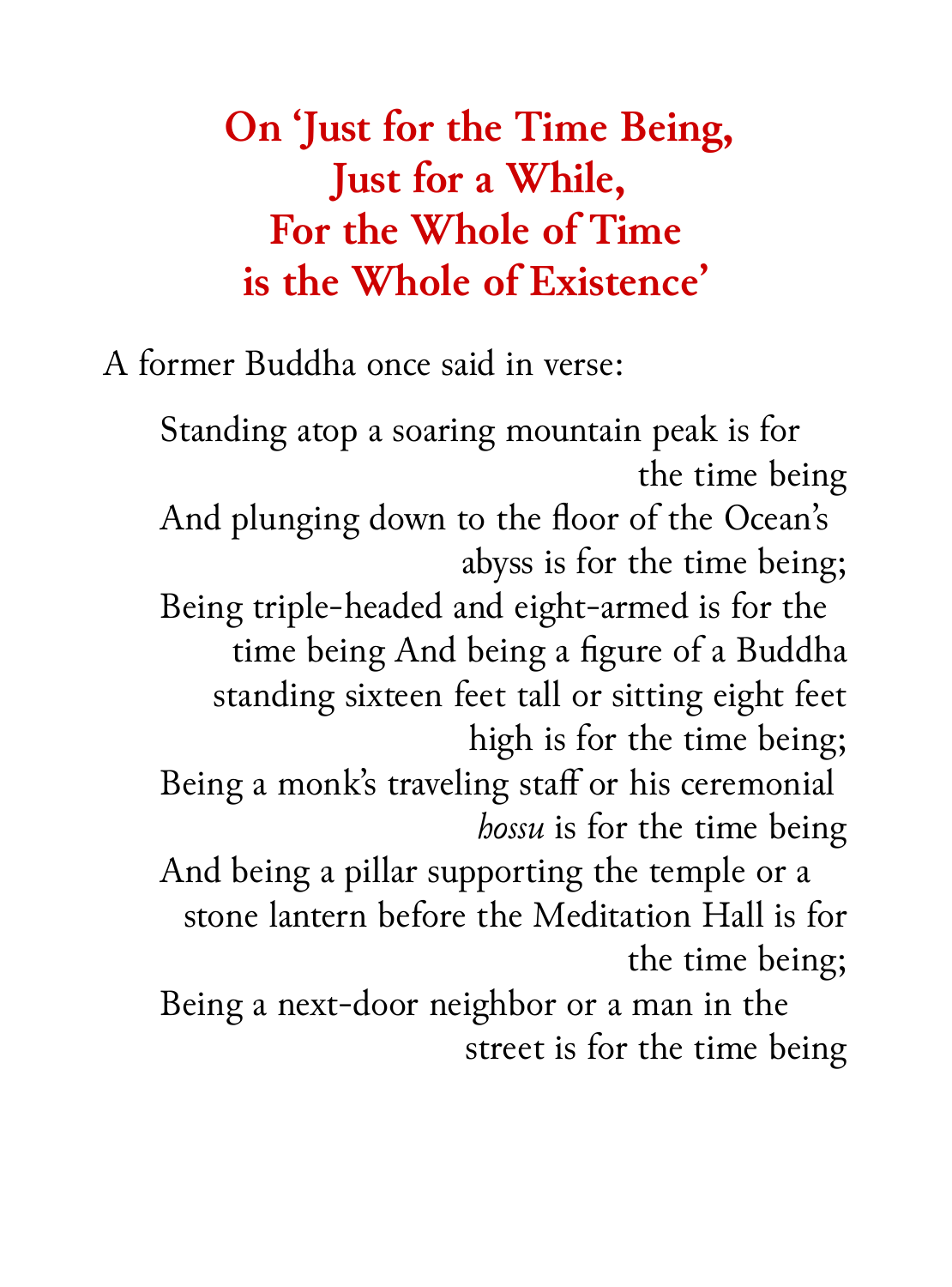# **On 'Just for the Time Being, Just for a While, For the Whole of Time is the Whole of Existence'**

A former Buddha once said in verse:

Standing atop a soaring mountain peak is for the time being

And plunging down to the floor of the Ocean's abyss is for the time being;

Being triple-headed and eight-armed is for the time being And being a figure of a Buddha standing sixteen feet tall or sitting eight feet high is for the time being;

Being a monk's traveling staff or his ceremonial *hossu* is for the time being

And being a pillar supporting the temple or a stone lantern before the Meditation Hall is for the time being;

Being a next-door neighbor or a man in the street is for the time being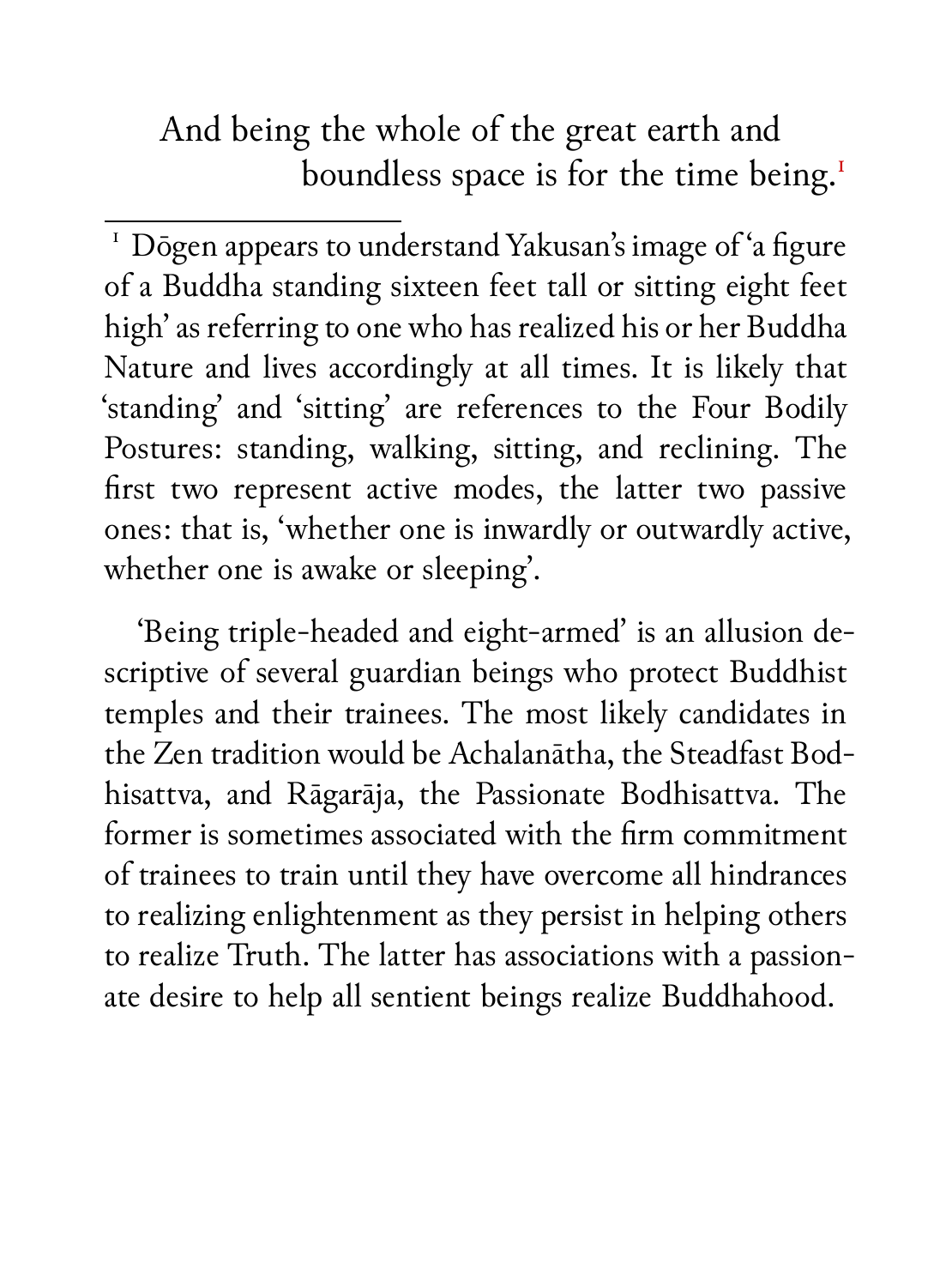And being the whole of the great earth and boundless space is for the time being.<sup>1</sup>

'Being triple-headed and eight-armed' is an allusion descriptive of several guardian beings who protect Buddhist temples and their trainees. The most likely candidates in the Zen tradition would be Achalanātha, the Steadfast Bodhisattva, and Rāgarāja, the Passionate Bodhisattva. The former is sometimes associated with the firm commitment of trainees to train until they have overcome all hindrances to realizing enlightenment as they persist in helping others to realize Truth. The latter has associations with a passionate desire to help all sentient beings realize Buddhahood.

<sup>&</sup>lt;sup>1</sup> Dōgen appears to understand Yakusan's image of 'a figure of a Buddha standing sixteen feet tall or sitting eight feet high' as referring to one who has realized his or her Buddha Nature and lives accordingly at all times. It is likely that 'standing' and 'sitting' are references to the Four Bodily Postures: standing, walking, sitting, and reclining. The first two represent active modes, the latter two passive ones: that is, 'whether one is inwardly or outwardly active, whether one is awake or sleeping'.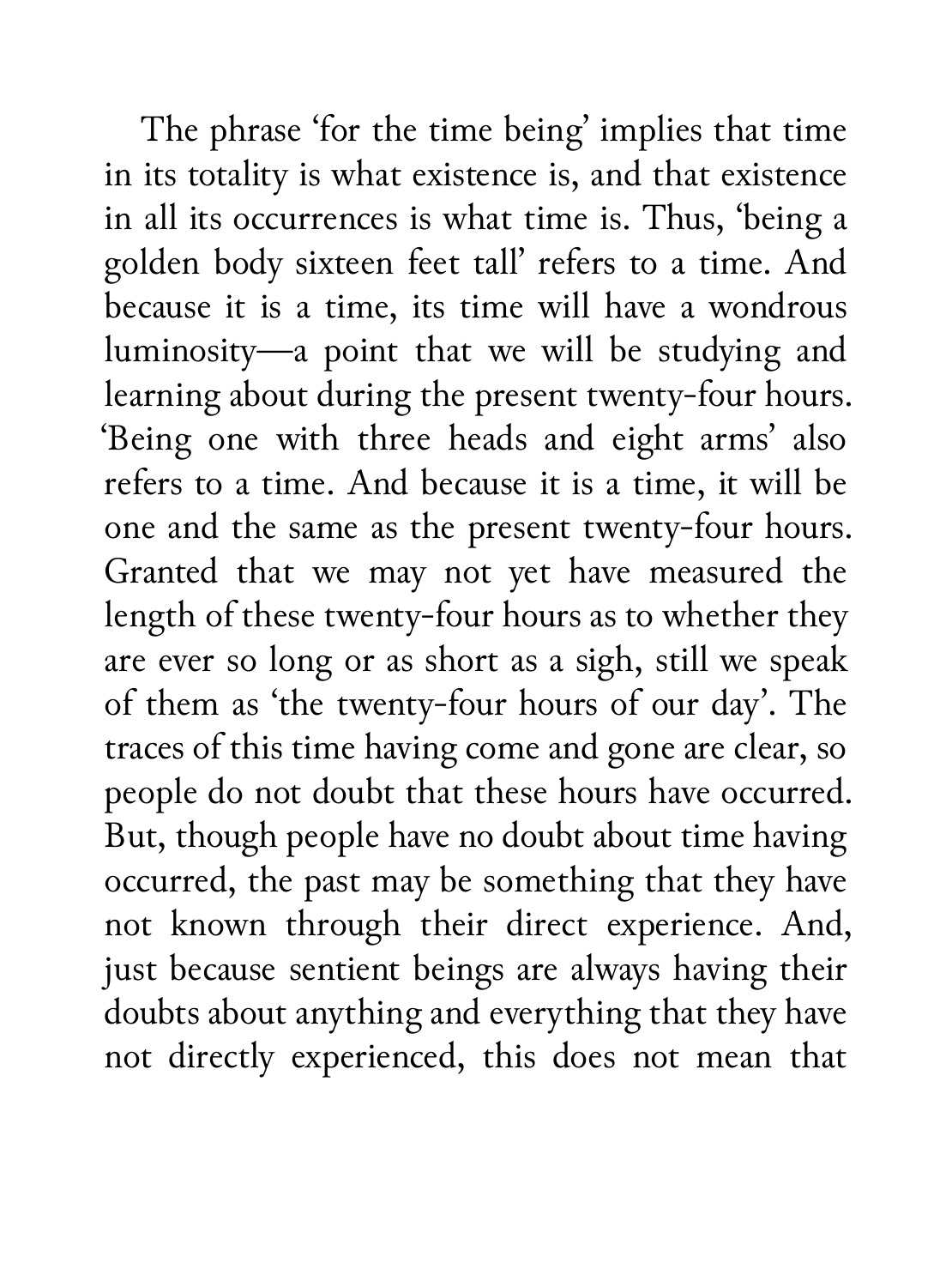The phrase 'for the time being' implies that time in its totality is what existence is, and that existence in all its occurrences is what time is. Thus, 'being a golden body sixteen feet tall' refers to a time. And because it is a time, its time will have a wondrous luminosity—a point that we will be studying and learning about during the present twenty-four hours. 'Being one with three heads and eight arms' also refers to a time. And because it is a time, it will be one and the same as the present twenty-four hours. Granted that we may not yet have measured the length of these twenty-four hours as to whether they are ever so long or as short as a sigh, still we speak of them as 'the twenty-four hours of our day'. The traces of this time having come and gone are clear, so people do not doubt that these hours have occurred. But, though people have no doubt about time having occurred, the past may be something that they have not known through their direct experience. And, just because sentient beings are always having their doubts about anything and everything that they have not directly experienced, this does not mean that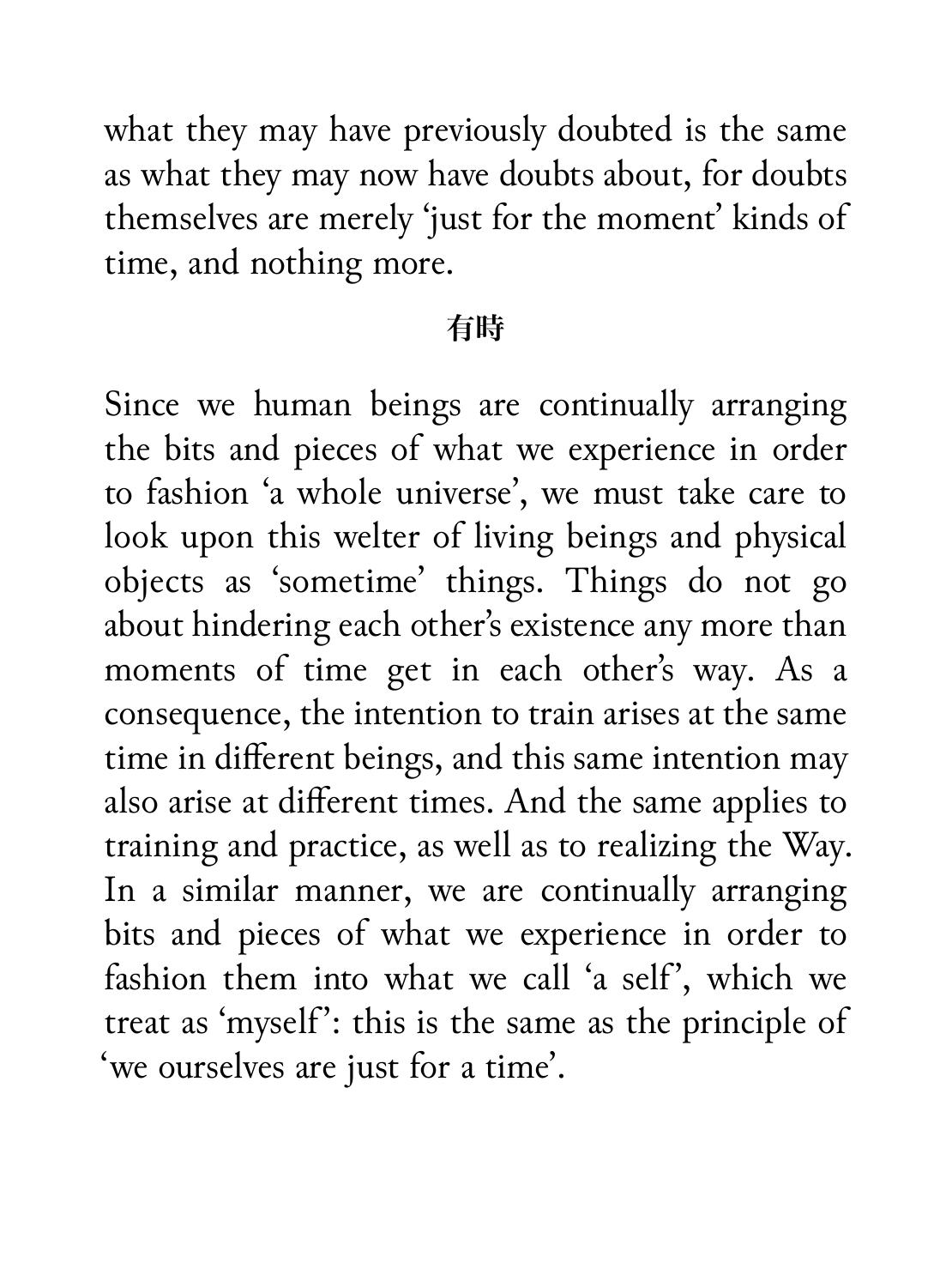what they may have previously doubted is the same as what they may now have doubts about, for doubts themselves are merely 'just for the moment' kinds of time, and nothing more.

#### **有時**

Since we human beings are continually arranging the bits and pieces of what we experience in order to fashion 'a whole universe', we must take care to look upon this welter of living beings and physical objects as 'sometime' things. Things do not go about hindering each other's existence any more than moments of time get in each other's way. As a consequence, the intention to train arises at the same time in different beings, and this same intention may also arise at different times. And the same applies to training and practice, as well as to realizing the Way. In a similar manner, we are continually arranging bits and pieces of what we experience in order to fashion them into what we call 'a self', which we treat as 'myself': this is the same as the principle of 'we ourselves are just for a time'.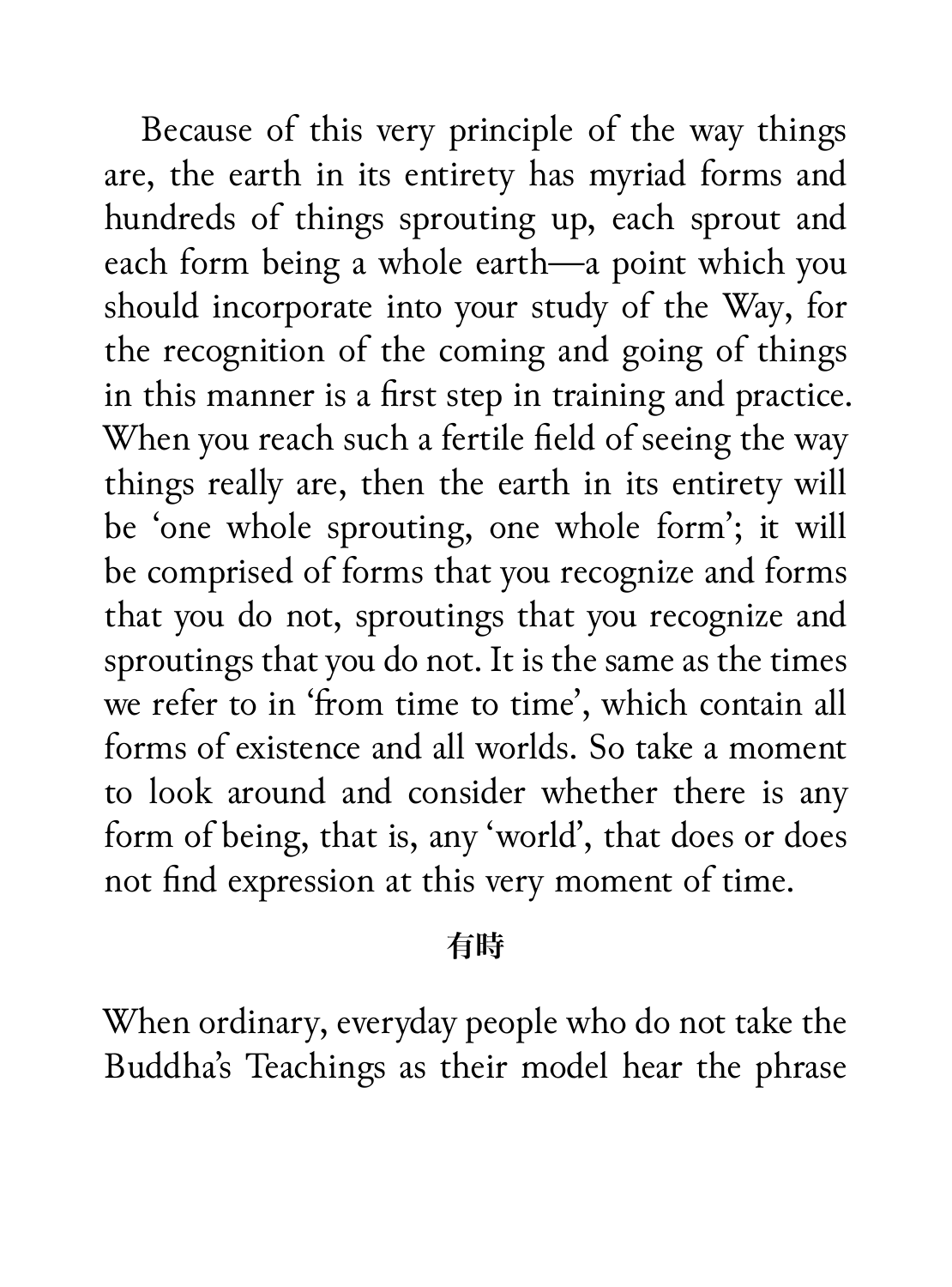Because of this very principle of the way things are, the earth in its entirety has myriad forms and hundreds of things sprouting up, each sprout and each form being a whole earth—a point which you should incorporate into your study of the Way, for the recognition of the coming and going of things in this manner is a first step in training and practice. When you reach such a fertile field of seeing the way things really are, then the earth in its entirety will be 'one whole sprouting, one whole form'; it will be comprised of forms that you recognize and forms that you do not, sproutings that you recognize and sproutings that you do not. It is the same as the times we refer to in 'from time to time', which contain all forms of existence and all worlds. So take a moment to look around and consider whether there is any form of being, that is, any 'world', that does or does not find expression at this very moment of time.

### **有時**

When ordinary, everyday people who do not take the Buddha's Teachings as their model hear the phrase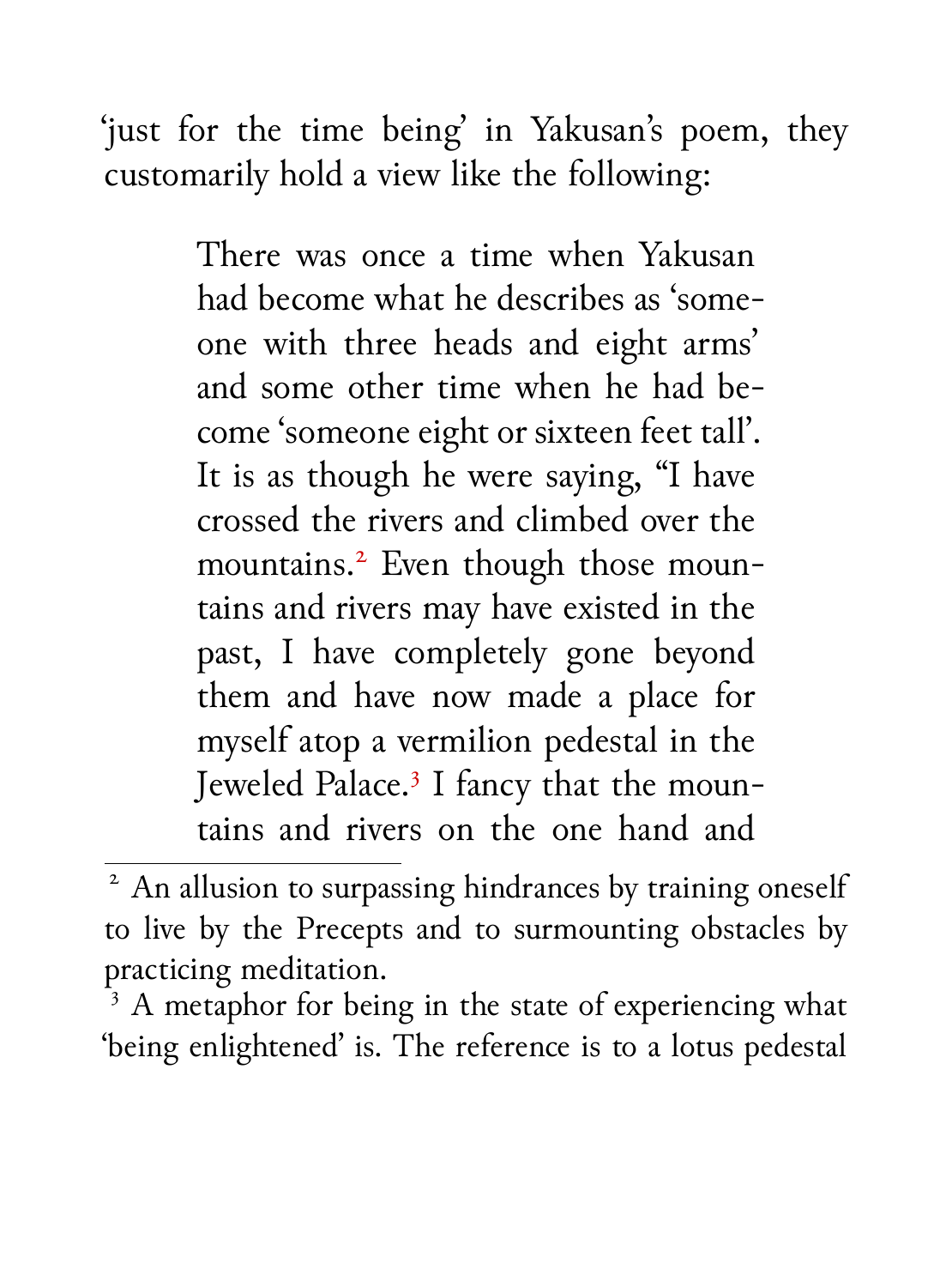'just for the time being' in Yakusan's poem, they customarily hold a view like the following:

> There was once a time when Yakusan had become what he describes as 'someone with three heads and eight arms' and some other time when he had become 'someone eight or sixteen feet tall'. It is as though he were saying, "I have crossed the rivers and climbed over the mountains.<sup>2</sup> Even though those mountains and rivers may have existed in the past, I have completely gone beyond them and have now made a place for myself atop a vermilion pedestal in the Jeweled Palace.<sup>3</sup> I fancy that the mountains and rivers on the one hand and

 $\overline{\text{2}}$  An allusion to surpassing hindrances by training oneself to live by the Precepts and to surmounting obstacles by practicing meditation.

<sup>&</sup>lt;sup>3</sup> A metaphor for being in the state of experiencing what 'being enlightened' is. The reference is to a lotus pedestal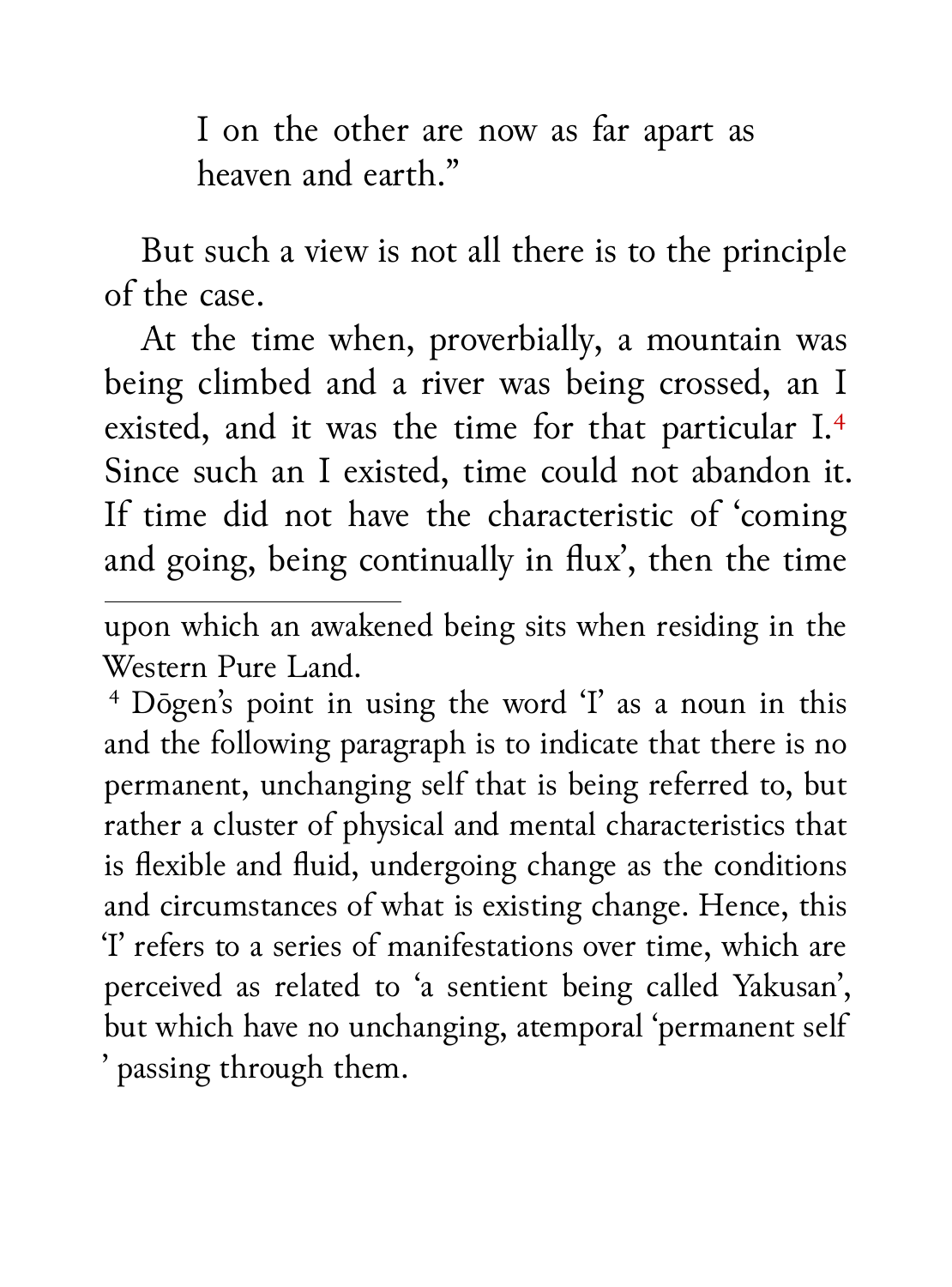I on the other are now as far apart as heaven and earth."

But such a view is not all there is to the principle of the case.

At the time when, proverbially, a mountain was being climbed and a river was being crossed, an I existed, and it was the time for that particular I.<sup>4</sup> Since such an I existed, time could not abandon it. If time did not have the characteristic of 'coming and going, being continually in flux', then the time

upon which an awakened being sits when residing in the Western Pure Land.

<sup>4</sup> Dōgen's point in using the word 'I' as a noun in this and the following paragraph is to indicate that there is no permanent, unchanging self that is being referred to, but rather a cluster of physical and mental characteristics that is flexible and fluid, undergoing change as the conditions and circumstances of what is existing change. Hence, this 'I' refers to a series of manifestations over time, which are perceived as related to 'a sentient being called Yakusan', but which have no unchanging, atemporal 'permanent self ' passing through them.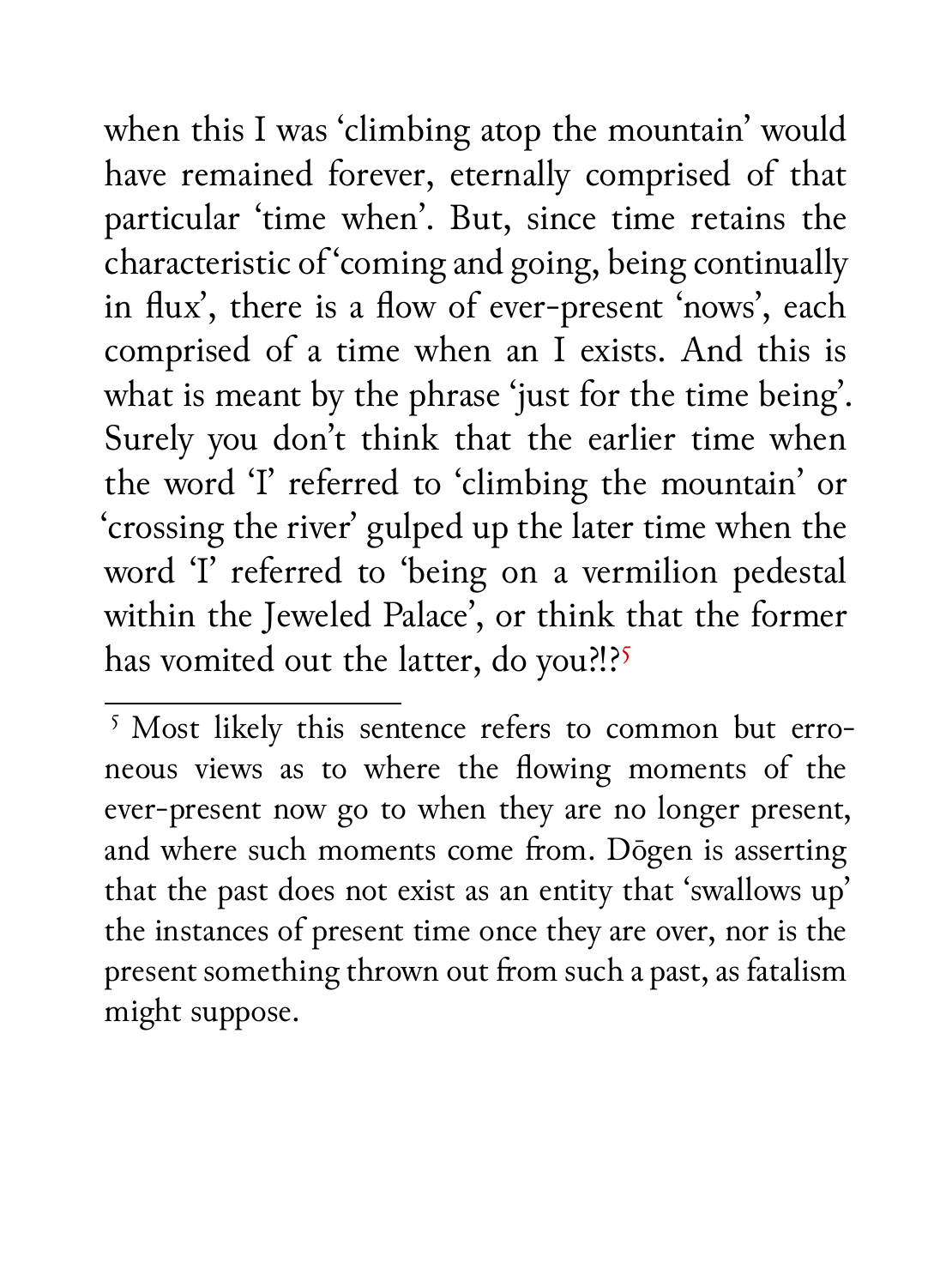when this I was 'climbing atop the mountain' would have remained forever, eternally comprised of that particular 'time when'. But, since time retains the characteristic of 'coming and going, being continually in flux', there is a flow of ever-present 'nows', each comprised of a time when an I exists. And this is what is meant by the phrase 'just for the time being'. Surely you don't think that the earlier time when the word 'I' referred to 'climbing the mountain' or 'crossing the river' gulped up the later time when the word 'I' referred to 'being on a vermilion pedestal within the Jeweled Palace', or think that the former has vomited out the latter, do you?!?<sup>5</sup>

 $\sqrt{5}$  Most likely this sentence refers to common but erroneous views as to where the flowing moments of the ever-present now go to when they are no longer present, and where such moments come from. Dōgen is asserting that the past does not exist as an entity that 'swallows up' the instances of present time once they are over, nor is the present something thrown out from such a past, as fatalism might suppose.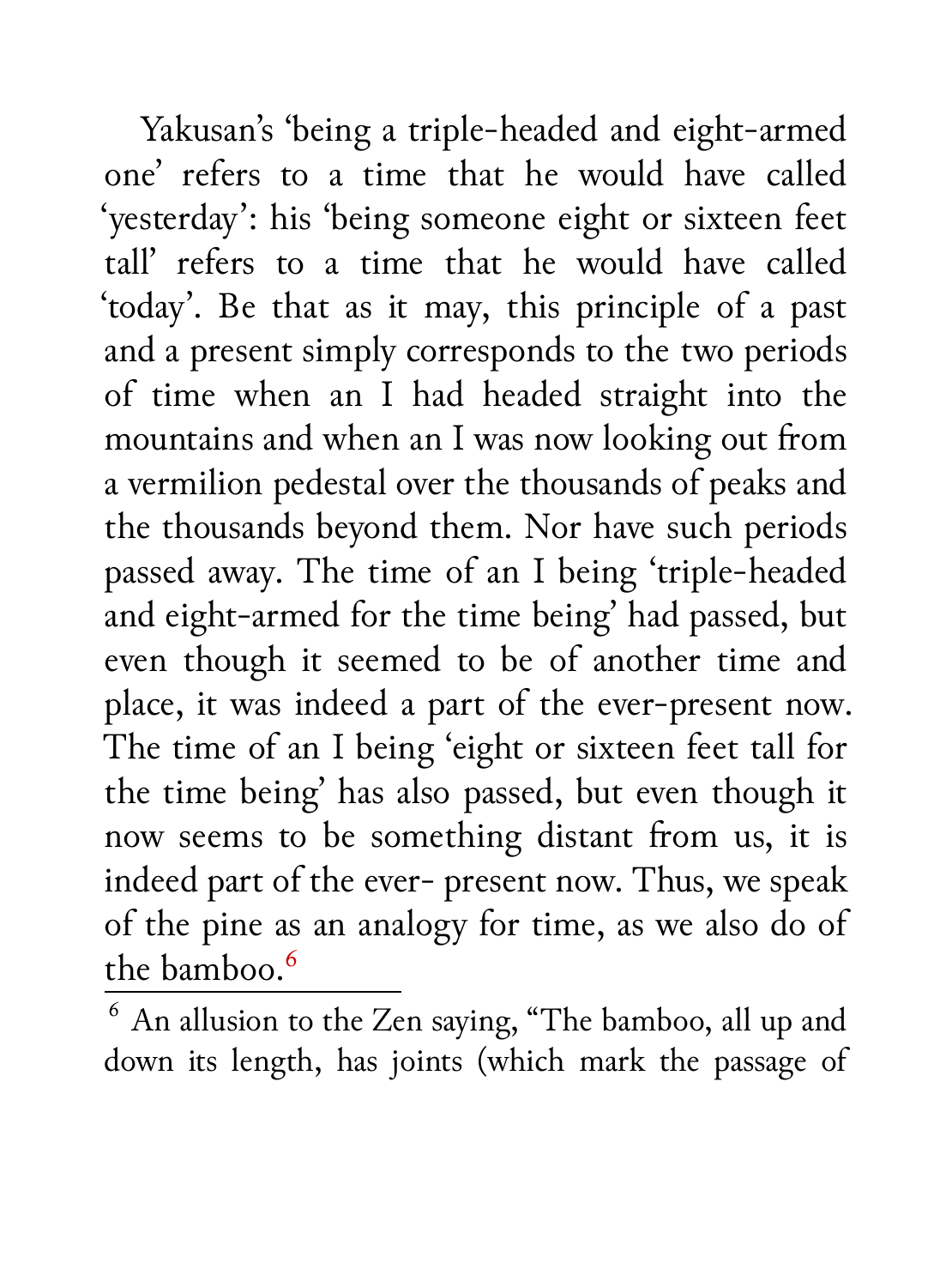Yakusan's 'being a triple-headed and eight-armed one' refers to a time that he would have called 'yesterday': his 'being someone eight or sixteen feet tall' refers to a time that he would have called 'today'. Be that as it may, this principle of a past and a present simply corresponds to the two periods of time when an I had headed straight into the mountains and when an I was now looking out from a vermilion pedestal over the thousands of peaks and the thousands beyond them. Nor have such periods passed away. The time of an I being 'triple-headed and eight-armed for the time being' had passed, but even though it seemed to be of another time and place, it was indeed a part of the ever-present now. The time of an I being 'eight or sixteen feet tall for the time being' has also passed, but even though it now seems to be something distant from us, it is indeed part of the ever- present now. Thus, we speak of the pine as an analogy for time, as we also do of the bamboo.<sup>6</sup>

<sup>6</sup> An allusion to the Zen saying, "The bamboo, all up and down its length, has joints (which mark the passage of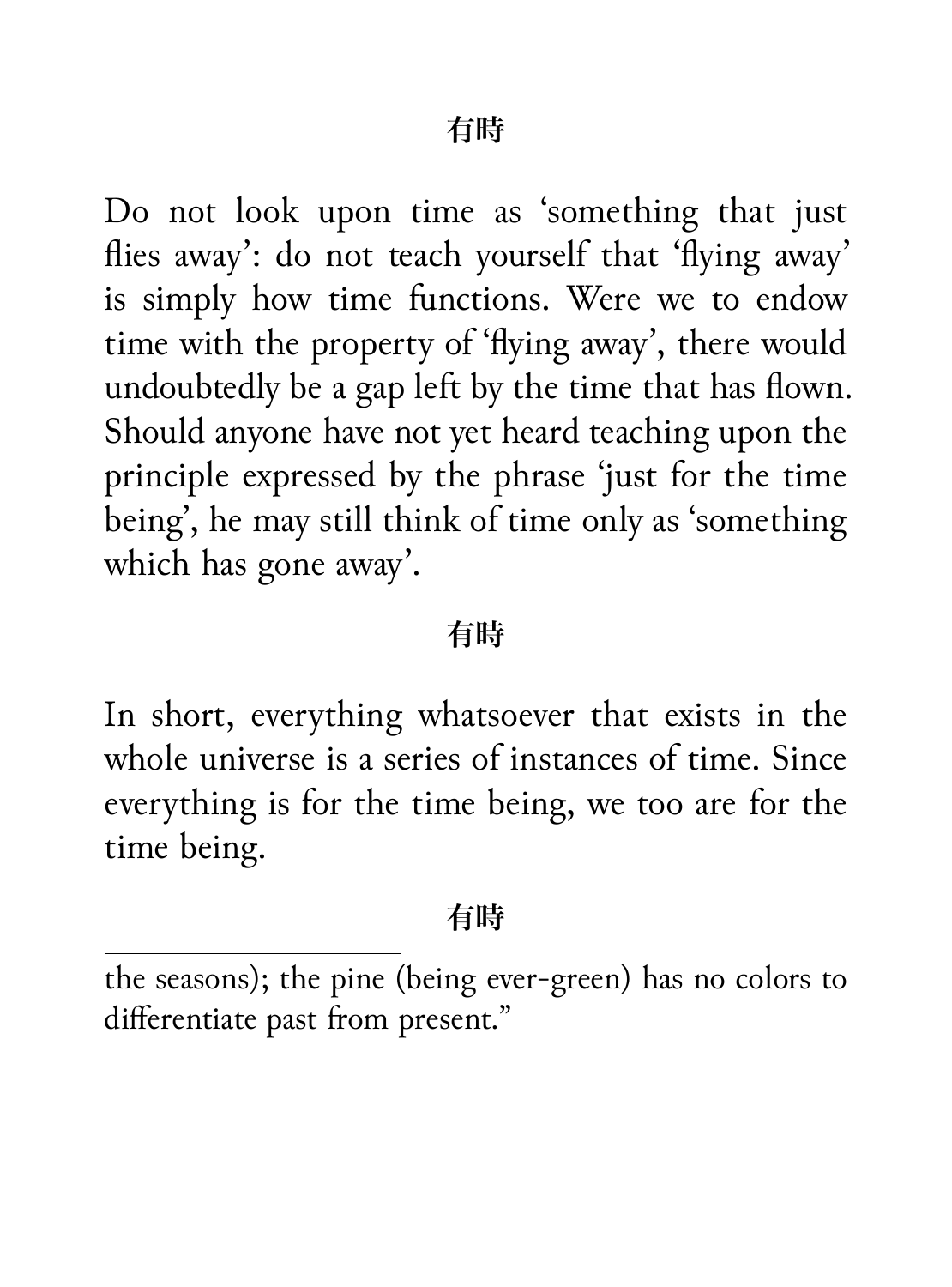Do not look upon time as 'something that just flies away': do not teach yourself that 'flying away' is simply how time functions. Were we to endow time with the property of 'flying away', there would undoubtedly be a gap left by the time that has flown. Should anyone have not yet heard teaching upon the principle expressed by the phrase 'just for the time being', he may still think of time only as 'something which has gone away'.

#### **有時**

In short, everything whatsoever that exists in the whole universe is a series of instances of time. Since everything is for the time being, we too are for the time being.

#### **有時**

the seasons); the pine (being ever-green) has no colors to differentiate past from present."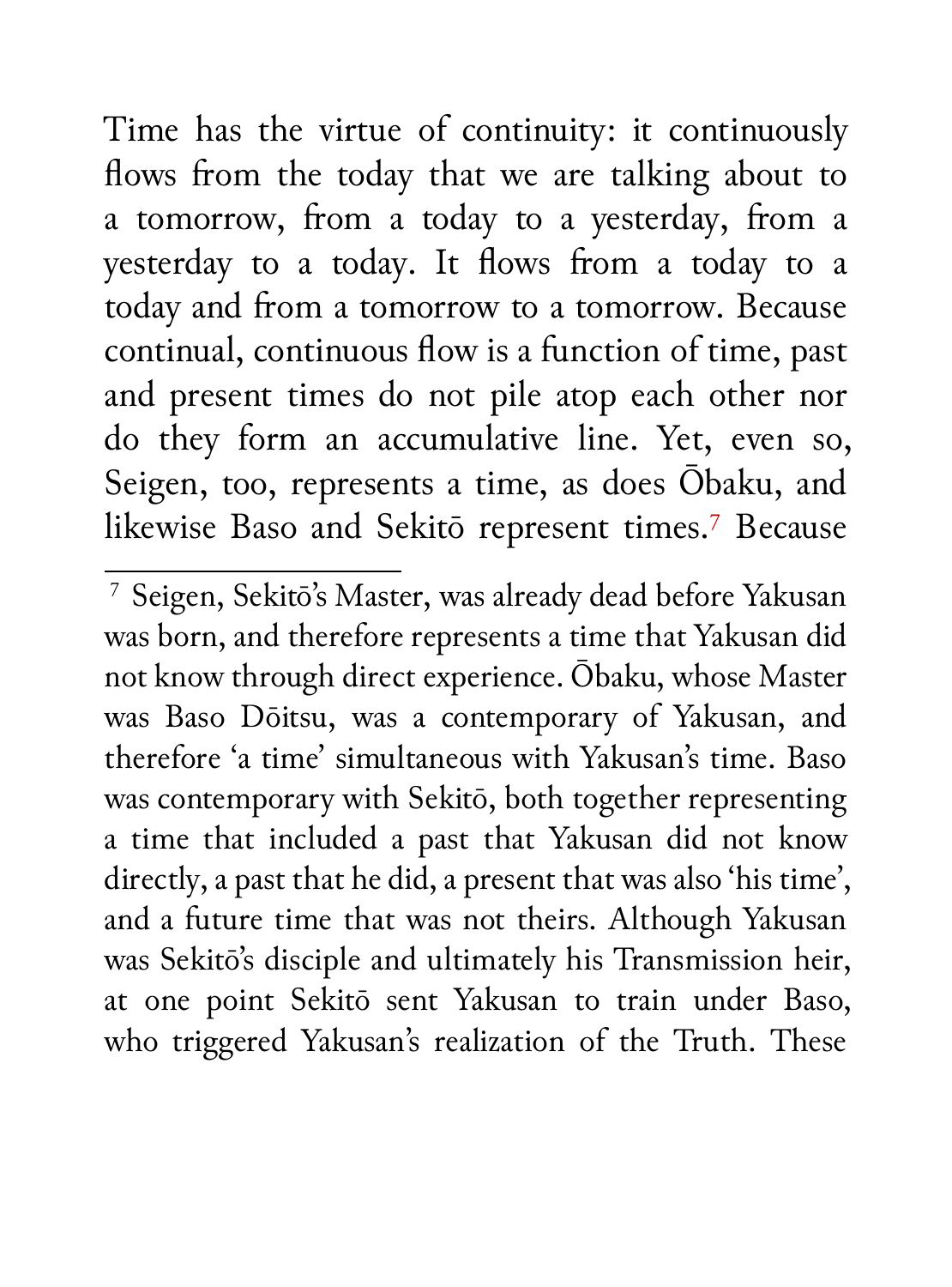Time has the virtue of continuity: it continuously flows from the today that we are talking about to a tomorrow, from a today to a yesterday, from a yesterday to a today. It flows from a today to a today and from a tomorrow to a tomorrow. Because continual, continuous flow is a function of time, past and present times do not pile atop each other nor do they form an accumulative line. Yet, even so, Seigen, too, represents a time, as does Ōbaku, and likewise Baso and Sekitō represent times.<sup>7</sup> Because

<sup>7</sup> Seigen, Sekitō's Master, was already dead before Yakusan was born, and therefore represents a time that Yakusan did not know through direct experience. Ōbaku, whose Master was Baso Dōitsu, was a contemporary of Yakusan, and therefore 'a time' simultaneous with Yakusan's time. Baso was contemporary with Sekitō, both together representing a time that included a past that Yakusan did not know directly, a past that he did, a present that was also 'his time', and a future time that was not theirs. Although Yakusan was Sekitō's disciple and ultimately his Transmission heir, at one point Sekitō sent Yakusan to train under Baso, who triggered Yakusan's realization of the Truth. These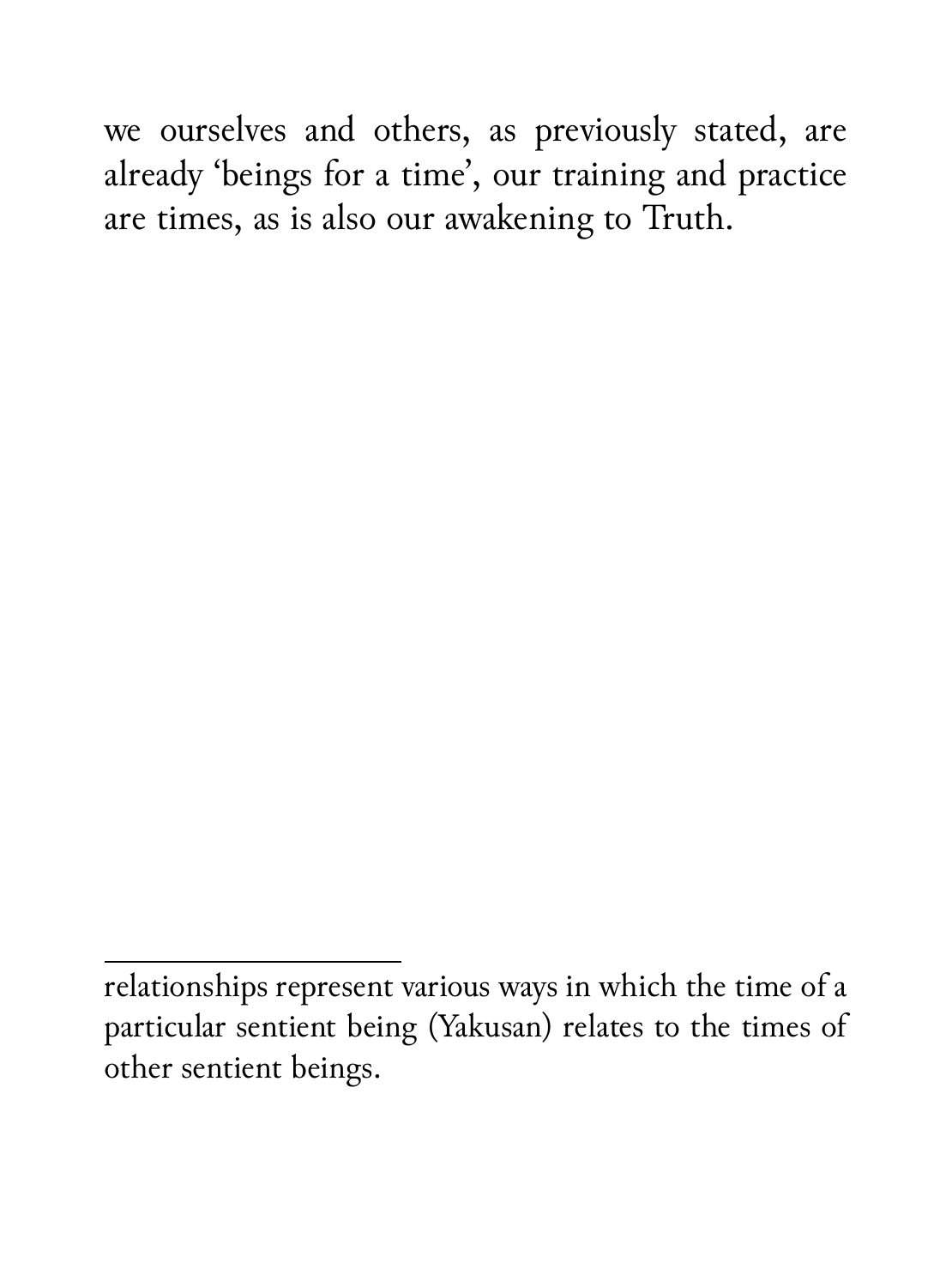we ourselves and others, as previously stated, are already 'beings for a time', our training and practice are times, as is also our awakening to Truth.

relationships represent various ways in which the time of a particular sentient being (Yakusan) relates to the times of other sentient beings.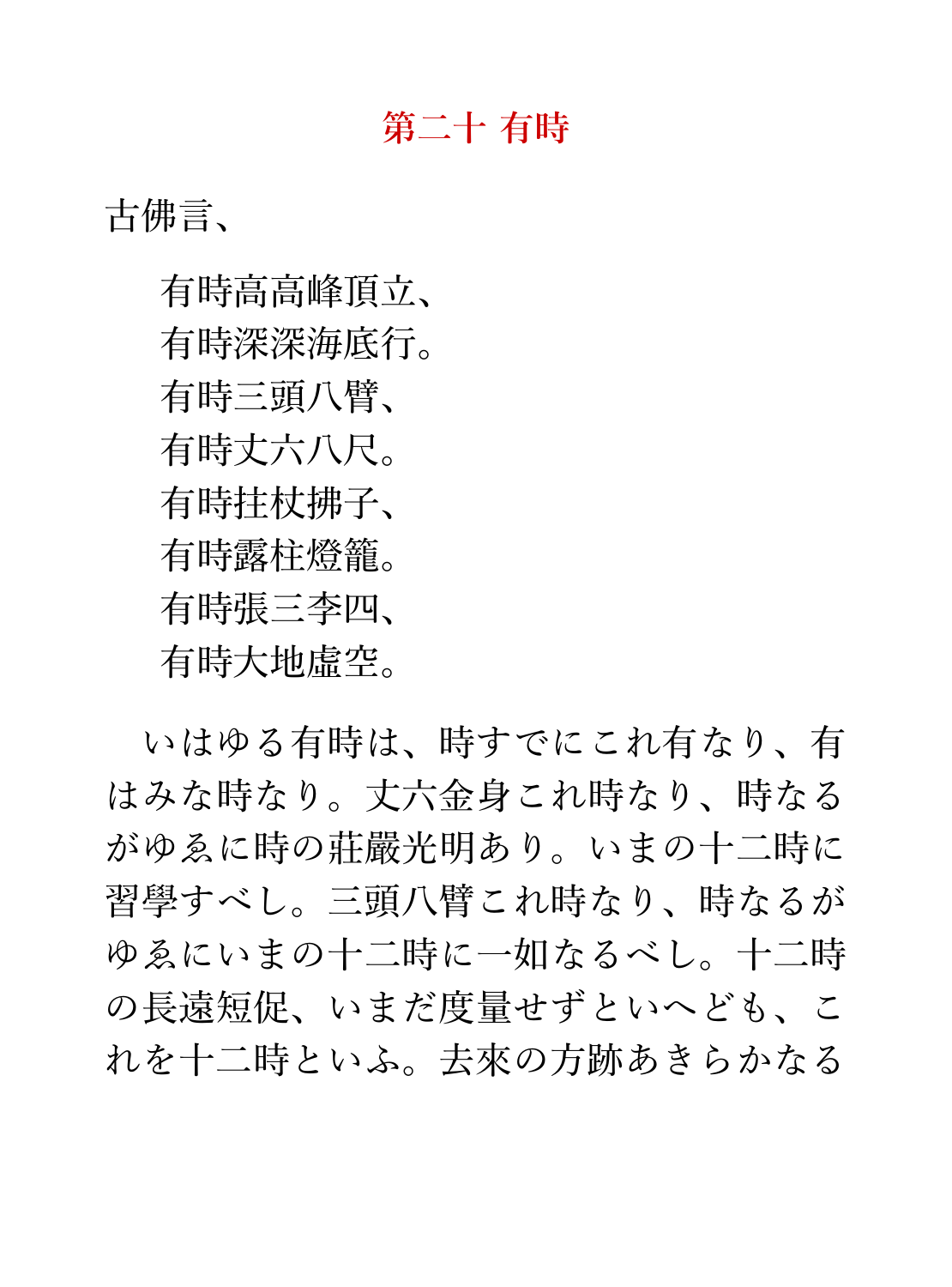#### **第二十 有時**

古佛言、

有時高高峰頂立、 有時深深海底行。 有時三頭八臂、 有時丈六八尺。 有時柱杖拂子、 有時露柱燈籠。 有時張三李四、 有時大地虛空。

いはゆる有時は、時すでにこれ有なり、有 はみな時なり。丈六金身これ時なり、時なる がゆゑに時の莊嚴光明あり。いまの十二時に 習學すべし。三頭八臂これ時なり、時なるが ゆゑにいまの十二時に一如なるべし。十二時 の長遠短促、いまだ度量せずといへども、こ れを十二時といふ。去來の方跡あきらかなる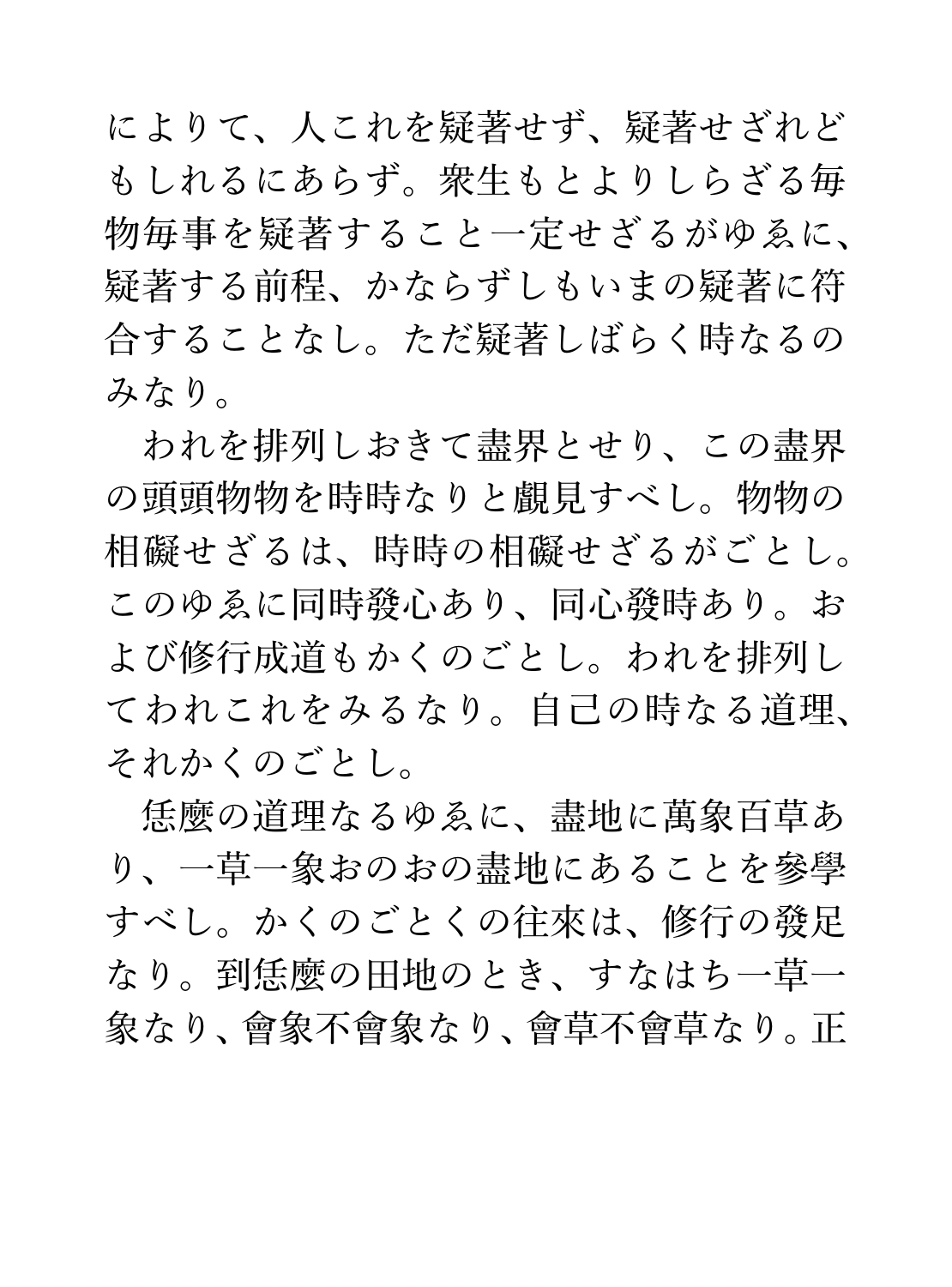によりて、人これを疑著せず、疑著せざれど もしれるにあらず。衆生もとよりしらざる毎 物毎事を疑著すること一定せざるがゆゑに、 疑著する前程、かならずしもいまの疑著に符 合することなし。ただ疑著しばらく時なるの みなり。

われを排列しおきて盡界とせり、この盡界 の頭頭物物を時時なりと覰見すべし。物物の 相礙せざるは、時時の相礙せざるがごとし。 このゆゑに同時發心あり、同心發時あり。お よび修行成道もかくのごとし。われを排列し てわれこれをみるなり。自己の時なる道理、 それかくのごとし。

恁麼の道理なるゆゑに、盡地に萬象百草あ り、一草一象おのおの盡地にあることを參學 すべし。かくのごとくの往來は、修行の發足 なり。到恁麼の田地のとき、すなはち一草一 象なり、會象不會象なり、會草不會草なり。正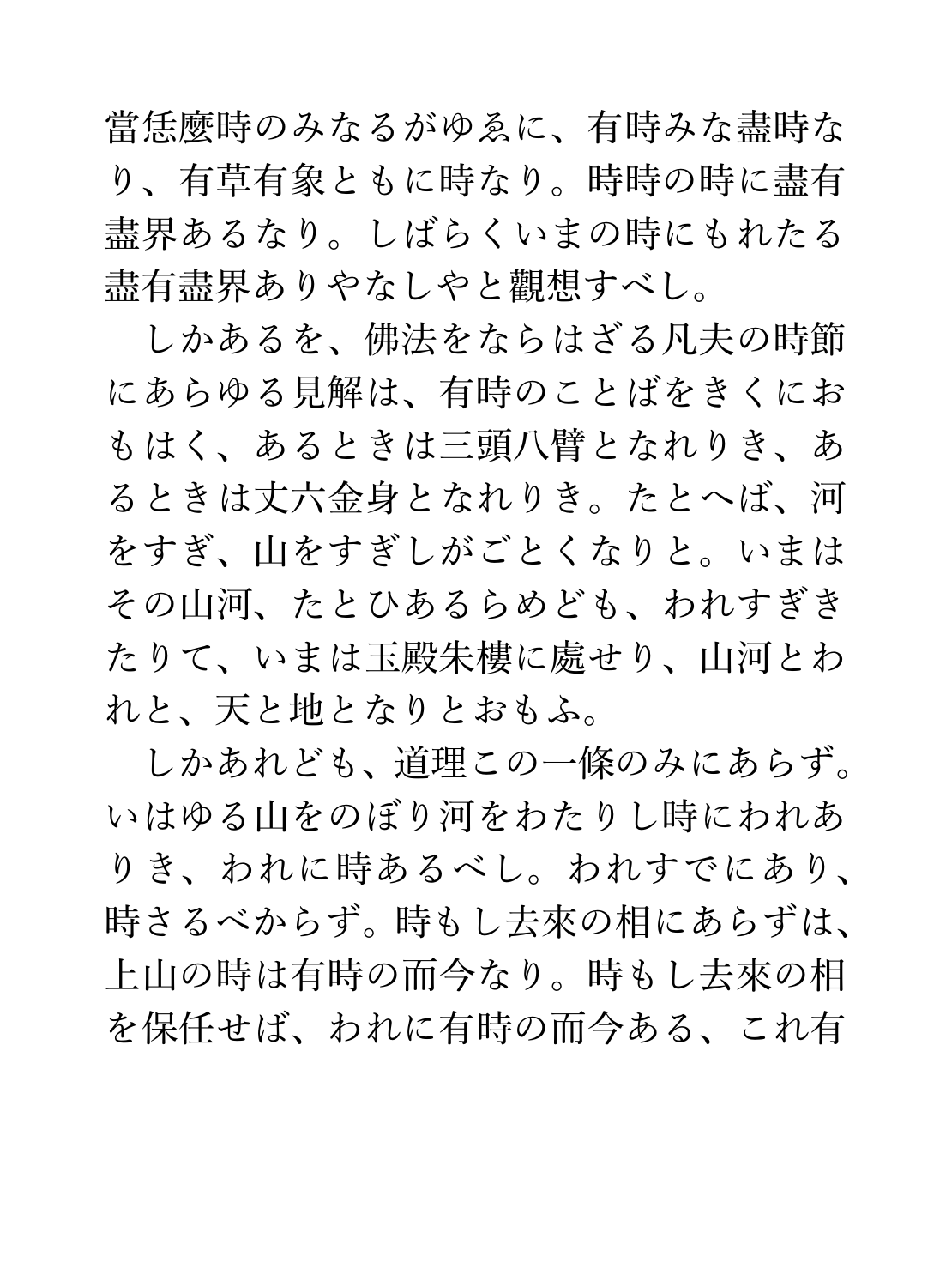當恁麼時のみなるがゆゑに、有時みな盡時な り、有草有象ともに時なり。時時の時に盡有 盡界あるなり。しばらくいまの時にもれたる 盡有盡界ありやなしやと觀想すべし。

しかあるを、佛法をならはざる凡夫の時節 にあらゆる見解は、有時のことばをきくにお もはく、あるときは三頭八臂となれりき、あ るときは丈六金身となれりき。たとへば、河 をすぎ、山をすぎしがごとくなりと。いまは その山河、たとひあるらめども、われすぎき たりて、いまは玉殿朱樓に處せり、山河とわ れと、天と地となりとおもふ。

しかあれども、道理この一條のみにあらず。 いはゆる山をのぼり河をわたりし時にわれあ りき、われに時あるべし。われすでにあり、 時さるべからず。時もし去來の相にあらずは、 上山の時は有時の而今なり。時もし去來の相 を保任せば、われに有時の而今ある、これ有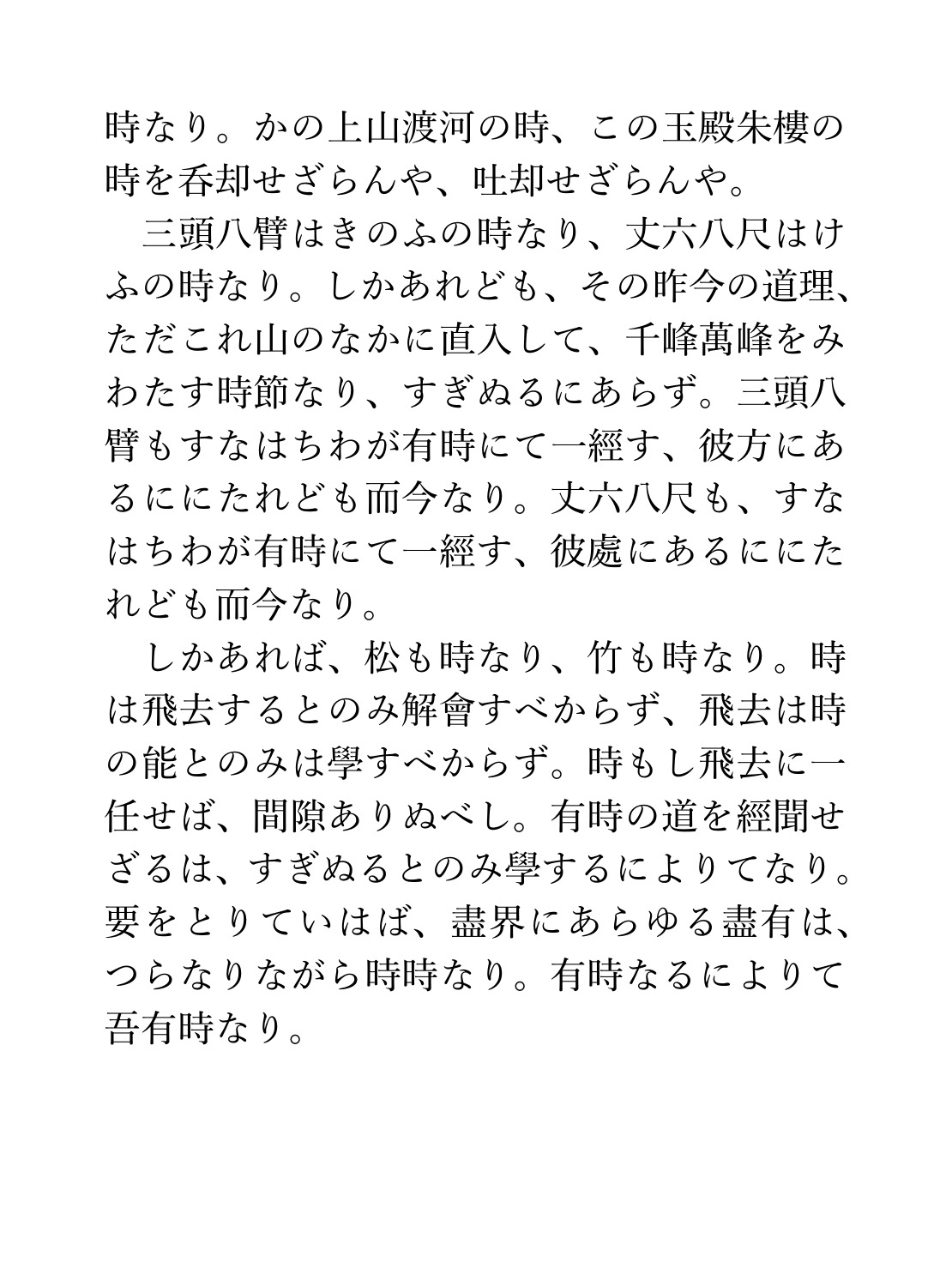時なり。かの上山渡河の時、この玉殿朱樓の 時を呑却せざらんや、吐却せざらんや。

三頭八臂はきのふの時なり、丈六八尺はけ ふの時なり。しかあれども、その昨今の道理、 ただこれ山のなかに直入して、千峰萬峰をみ わたす時節なり、すぎぬるにあらず。三頭八 臂もすなはちわが有時にて一經す、彼方にあ るににたれども而今なり。丈六八尺も、すな はちわが有時にて一經す、彼處にあるににた れども而今なり。

しかあれば、松も時なり、竹も時なり。時 は飛去するとのみ解會すべからず、飛去は時 の能とのみは學すべからず。時もし飛去に一 任せば、間伱ありぬべし。有時の道を經聞せ ざるは、すぎぬるとのみ學するによりてなり。 要をとりていはば、盡界にあらゆる盡有は、 つらなりながら時時なり。有時なるによりて 吾有時なり。